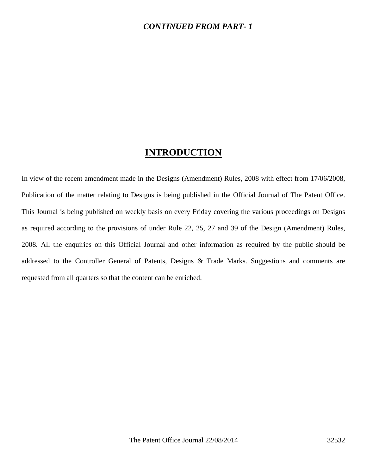### *CONTINUED FROM PART- 1*

## **INTRODUCTION**

In view of the recent amendment made in the Designs (Amendment) Rules, 2008 with effect from 17/06/2008, Publication of the matter relating to Designs is being published in the Official Journal of The Patent Office. This Journal is being published on weekly basis on every Friday covering the various proceedings on Designs as required according to the provisions of under Rule 22, 25, 27 and 39 of the Design (Amendment) Rules, 2008. All the enquiries on this Official Journal and other information as required by the public should be addressed to the Controller General of Patents, Designs & Trade Marks. Suggestions and comments are requested from all quarters so that the content can be enriched.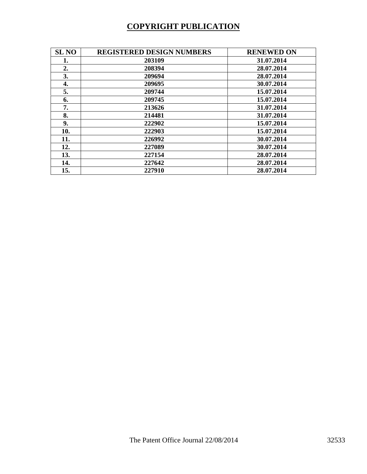# **COPYRIGHT PUBLICATION**

| <b>SL NO</b> | <b>REGISTERED DESIGN NUMBERS</b> | <b>RENEWED ON</b> |
|--------------|----------------------------------|-------------------|
| 1.           | 203109                           | 31.07.2014        |
| 2.           | 208394                           | 28.07.2014        |
| 3.           | 209694                           | 28.07.2014        |
| 4.           | 209695                           | 30.07.2014        |
| 5.           | 209744                           | 15.07.2014        |
| 6.           | 209745                           | 15.07.2014        |
| 7.           | 213626                           | 31.07.2014        |
| 8.           | 214481                           | 31.07.2014        |
| 9.           | 222902                           | 15.07.2014        |
| 10.          | 222903                           | 15.07.2014        |
| 11.          | 226992                           | 30.07.2014        |
| 12.          | 227089                           | 30.07.2014        |
| 13.          | 227154                           | 28.07.2014        |
| 14.          | 227642                           | 28.07.2014        |
| 15.          | 227910                           | 28.07.2014        |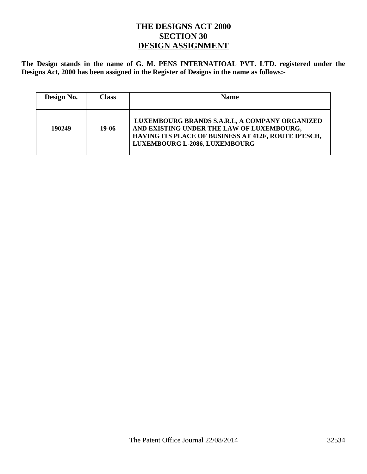### **THE DESIGNS ACT 2000 SECTION 30 DESIGN ASSIGNMENT**

**The Design stands in the name of G. M. PENS INTERNATIOAL PVT. LTD. registered under the Designs Act, 2000 has been assigned in the Register of Designs in the name as follows:-** 

| Design No. | Class | <b>Name</b>                                                                                                                                                                         |
|------------|-------|-------------------------------------------------------------------------------------------------------------------------------------------------------------------------------------|
| 190249     | 19-06 | LUXEMBOURG BRANDS S.A.R.L, A COMPANY ORGANIZED<br>AND EXISTING UNDER THE LAW OF LUXEMBOURG,<br>HAVING ITS PLACE OF BUSINESS AT 412F, ROUTE D'ESCH,<br>LUXEMBOURG L-2086, LUXEMBOURG |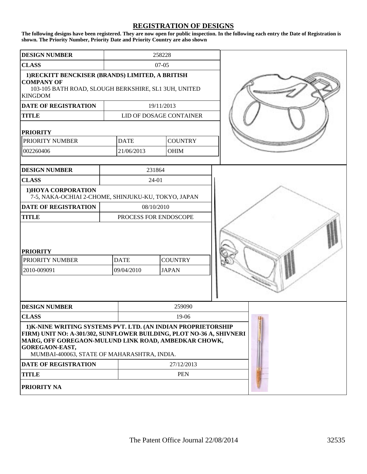#### **REGISTRATION OF DESIGNS**

**The following designs have been registered. They are now open for public inspection. In the following each entry the Date of Registration is shown. The Priority Number, Priority Date and Priority Country are also shown**

| <b>DESIGN NUMBER</b>                                                                                                                                                                                                                                                  |        |                           | 258228  |                                |  |
|-----------------------------------------------------------------------------------------------------------------------------------------------------------------------------------------------------------------------------------------------------------------------|--------|---------------------------|---------|--------------------------------|--|
| <b>CLASS</b>                                                                                                                                                                                                                                                          |        |                           | $07-05$ |                                |  |
| 1) RECKITT BENCKISER (BRANDS) LIMITED, A BRITISH<br><b>COMPANY OF</b><br>103-105 BATH ROAD, SLOUGH BERKSHIRE, SL1 3UH, UNITED<br><b>KINGDOM</b>                                                                                                                       |        |                           |         |                                |  |
| <b>DATE OF REGISTRATION</b>                                                                                                                                                                                                                                           |        |                           |         | 19/11/2013                     |  |
| <b>TITLE</b>                                                                                                                                                                                                                                                          |        |                           |         | LID OF DOSAGE CONTAINER        |  |
| <b>PRIORITY</b>                                                                                                                                                                                                                                                       |        |                           |         |                                |  |
| PRIORITY NUMBER                                                                                                                                                                                                                                                       |        | <b>DATE</b>               |         | <b>COUNTRY</b>                 |  |
| 002260406                                                                                                                                                                                                                                                             |        | 21/06/2013                |         | <b>OHIM</b>                    |  |
|                                                                                                                                                                                                                                                                       |        |                           |         |                                |  |
| <b>DESIGN NUMBER</b>                                                                                                                                                                                                                                                  |        |                           | 231864  |                                |  |
| <b>CLASS</b>                                                                                                                                                                                                                                                          |        |                           | 24-01   |                                |  |
| 1) HOYA CORPORATION<br>7-5, NAKA-OCHIAI 2-CHOME, SHINJUKU-KU, TOKYO, JAPAN                                                                                                                                                                                            |        |                           |         |                                |  |
| <b>DATE OF REGISTRATION</b>                                                                                                                                                                                                                                           |        | 08/10/2010                |         |                                |  |
| <b>TITLE</b>                                                                                                                                                                                                                                                          |        | PROCESS FOR ENDOSCOPE     |         |                                |  |
| <b>PRIORITY</b><br>PRIORITY NUMBER<br>2010-009091                                                                                                                                                                                                                     |        | <b>DATE</b><br>09/04/2010 |         | <b>COUNTRY</b><br><b>JAPAN</b> |  |
|                                                                                                                                                                                                                                                                       |        |                           |         |                                |  |
| <b>DESIGN NUMBER</b>                                                                                                                                                                                                                                                  | 259090 |                           |         |                                |  |
| <b>CLASS</b>                                                                                                                                                                                                                                                          |        |                           |         | 19-06                          |  |
| 1) K-NINE WRITING SYSTEMS PVT. LTD. (AN INDIAN PROPRIETORSHIP<br>FIRM) UNIT NO: A-301/302, SUNFLOWER BUILDING, PLOT NO-36 A, SHIVNERI<br>MARG, OFF GOREGAON-MULUND LINK ROAD, AMBEDKAR CHOWK,<br><b>GOREGAON-EAST,</b><br>MUMBAI-400063, STATE OF MAHARASHTRA, INDIA. |        |                           |         |                                |  |
| DATE OF REGISTRATION                                                                                                                                                                                                                                                  |        | 27/12/2013                |         |                                |  |
| <b>TITLE</b>                                                                                                                                                                                                                                                          |        |                           |         | <b>PEN</b>                     |  |
| <b>PRIORITY NA</b>                                                                                                                                                                                                                                                    |        |                           |         |                                |  |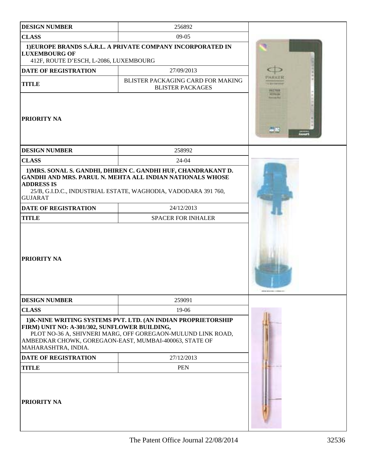| <b>DESIGN NUMBER</b>                                                                                                           | 256892                                                                                                                                                                                              |                   |
|--------------------------------------------------------------------------------------------------------------------------------|-----------------------------------------------------------------------------------------------------------------------------------------------------------------------------------------------------|-------------------|
| <b>CLASS</b>                                                                                                                   | $09-05$                                                                                                                                                                                             |                   |
| <b>LUXEMBOURG OF</b><br>412F, ROUTE D'ESCH, L-2086, LUXEMBOURG                                                                 | 1) EUROPE BRANDS S.Á.R.L. A PRIVATE COMPANY INCORPORATED IN                                                                                                                                         |                   |
| <b>DATE OF REGISTRATION</b>                                                                                                    | 27/09/2013                                                                                                                                                                                          |                   |
| <b>TITLE</b>                                                                                                                   | BLISTER PACKAGING CARD FOR MAKING<br><b>BLISTER PACKAGES</b>                                                                                                                                        |                   |
| <b>PRIORITY NA</b>                                                                                                             |                                                                                                                                                                                                     | <b>AT THE CO-</b> |
| <b>DESIGN NUMBER</b>                                                                                                           | 258992                                                                                                                                                                                              |                   |
| <b>CLASS</b>                                                                                                                   | 24-04                                                                                                                                                                                               |                   |
| <b>ADDRESS IS</b><br><b>GUJARAT</b>                                                                                            | 1) MRS. SONAL S. GANDHI, DHIREN C. GANDHI HUF, CHANDRAKANT D.<br><b>GANDHI AND MRS. PARUL N. MEHTA ALL INDIAN NATIONALS WHOSE</b><br>25/B, G.I.D.C., INDUSTRIAL ESTATE, WAGHODIA, VADODARA 391 760, |                   |
| DATE OF REGISTRATION                                                                                                           | 24/12/2013                                                                                                                                                                                          |                   |
| <b>TITLE</b>                                                                                                                   | <b>SPACER FOR INHALER</b>                                                                                                                                                                           |                   |
| PRIORITY NA                                                                                                                    |                                                                                                                                                                                                     |                   |
| <b>DESIGN NUMBER</b>                                                                                                           | 259091                                                                                                                                                                                              |                   |
| <b>CLASS</b>                                                                                                                   | 19-06                                                                                                                                                                                               |                   |
| FIRM) UNIT NO: A-301/302, SUNFLOWER BUILDING,<br>AMBEDKAR CHOWK, GOREGAON-EAST, MUMBAI-400063, STATE OF<br>MAHARASHTRA, INDIA. | 1) K-NINE WRITING SYSTEMS PVT. LTD. (AN INDIAN PROPRIETORSHIP<br>PLOT NO-36 A, SHIVNERI MARG, OFF GOREGAON-MULUND LINK ROAD,                                                                        |                   |
| DATE OF REGISTRATION                                                                                                           | 27/12/2013                                                                                                                                                                                          |                   |
| <b>TITLE</b>                                                                                                                   | <b>PEN</b>                                                                                                                                                                                          |                   |
| <b>PRIORITY NA</b>                                                                                                             |                                                                                                                                                                                                     |                   |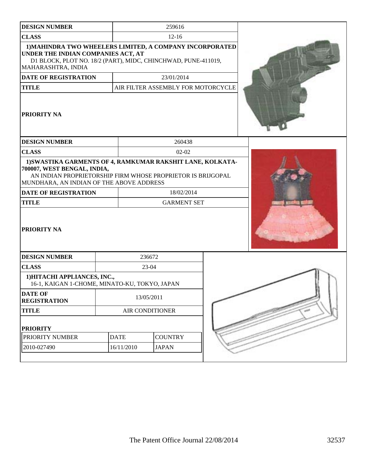| <b>CLASS</b><br>$12 - 16$<br>1) MAHINDRA TWO WHEELERS LIMITED, A COMPANY INCORPORATED<br>UNDER THE INDIAN COMPANIES ACT, AT<br>D1 BLOCK, PLOT NO. 18/2 (PART), MIDC, CHINCHWAD, PUNE-411019,<br>MAHARASHTRA, INDIA<br>23/01/2014<br>DATE OF REGISTRATION<br>AIR FILTER ASSEMBLY FOR MOTORCYCLE<br><b>TITLE</b><br>PRIORITY NA<br><b>DESIGN NUMBER</b><br>260438<br><b>CLASS</b><br>$02 - 02$<br>1) SWASTIKA GARMENTS OF 4, RAMKUMAR RAKSHIT LANE, KOLKATA-<br>700007, WEST BENGAL, INDIA,<br>AN INDIAN PROPRIETORSHIP FIRM WHOSE PROPRIETOR IS BRIJGOPAL<br>MUNDHARA, AN INDIAN OF THE ABOVE ADDRESS<br>DATE OF REGISTRATION<br>18/02/2014<br><b>GARMENT SET</b><br><b>TITLE</b><br>PRIORITY NA<br><b>DESIGN NUMBER</b><br>236672<br>23-04<br><b>CLASS</b><br>1) HITACHI APPLIANCES, INC.,<br>16-1, KAIGAN 1-CHOME, MINATO-KU, TOKYO, JAPAN<br><b>DATE OF</b><br>13/05/2011<br><b>REGISTRATION</b><br><b>TITLE</b><br>AIR CONDITIONER<br><b>PRIORITY</b> | <b>DESIGN NUMBER</b> |             | 259616         |  |  |
|----------------------------------------------------------------------------------------------------------------------------------------------------------------------------------------------------------------------------------------------------------------------------------------------------------------------------------------------------------------------------------------------------------------------------------------------------------------------------------------------------------------------------------------------------------------------------------------------------------------------------------------------------------------------------------------------------------------------------------------------------------------------------------------------------------------------------------------------------------------------------------------------------------------------------------------------------------|----------------------|-------------|----------------|--|--|
|                                                                                                                                                                                                                                                                                                                                                                                                                                                                                                                                                                                                                                                                                                                                                                                                                                                                                                                                                          |                      |             |                |  |  |
|                                                                                                                                                                                                                                                                                                                                                                                                                                                                                                                                                                                                                                                                                                                                                                                                                                                                                                                                                          |                      |             |                |  |  |
|                                                                                                                                                                                                                                                                                                                                                                                                                                                                                                                                                                                                                                                                                                                                                                                                                                                                                                                                                          |                      |             |                |  |  |
|                                                                                                                                                                                                                                                                                                                                                                                                                                                                                                                                                                                                                                                                                                                                                                                                                                                                                                                                                          |                      |             |                |  |  |
|                                                                                                                                                                                                                                                                                                                                                                                                                                                                                                                                                                                                                                                                                                                                                                                                                                                                                                                                                          |                      |             |                |  |  |
|                                                                                                                                                                                                                                                                                                                                                                                                                                                                                                                                                                                                                                                                                                                                                                                                                                                                                                                                                          |                      |             |                |  |  |
|                                                                                                                                                                                                                                                                                                                                                                                                                                                                                                                                                                                                                                                                                                                                                                                                                                                                                                                                                          |                      |             |                |  |  |
|                                                                                                                                                                                                                                                                                                                                                                                                                                                                                                                                                                                                                                                                                                                                                                                                                                                                                                                                                          |                      |             |                |  |  |
|                                                                                                                                                                                                                                                                                                                                                                                                                                                                                                                                                                                                                                                                                                                                                                                                                                                                                                                                                          |                      |             |                |  |  |
|                                                                                                                                                                                                                                                                                                                                                                                                                                                                                                                                                                                                                                                                                                                                                                                                                                                                                                                                                          |                      |             |                |  |  |
|                                                                                                                                                                                                                                                                                                                                                                                                                                                                                                                                                                                                                                                                                                                                                                                                                                                                                                                                                          |                      |             |                |  |  |
|                                                                                                                                                                                                                                                                                                                                                                                                                                                                                                                                                                                                                                                                                                                                                                                                                                                                                                                                                          |                      |             |                |  |  |
|                                                                                                                                                                                                                                                                                                                                                                                                                                                                                                                                                                                                                                                                                                                                                                                                                                                                                                                                                          |                      |             |                |  |  |
|                                                                                                                                                                                                                                                                                                                                                                                                                                                                                                                                                                                                                                                                                                                                                                                                                                                                                                                                                          |                      |             |                |  |  |
|                                                                                                                                                                                                                                                                                                                                                                                                                                                                                                                                                                                                                                                                                                                                                                                                                                                                                                                                                          |                      |             |                |  |  |
|                                                                                                                                                                                                                                                                                                                                                                                                                                                                                                                                                                                                                                                                                                                                                                                                                                                                                                                                                          |                      |             |                |  |  |
|                                                                                                                                                                                                                                                                                                                                                                                                                                                                                                                                                                                                                                                                                                                                                                                                                                                                                                                                                          |                      |             |                |  |  |
|                                                                                                                                                                                                                                                                                                                                                                                                                                                                                                                                                                                                                                                                                                                                                                                                                                                                                                                                                          | PRIORITY NUMBER      | <b>DATE</b> | <b>COUNTRY</b> |  |  |
| 2010-027490<br>16/11/2010<br><b>JAPAN</b>                                                                                                                                                                                                                                                                                                                                                                                                                                                                                                                                                                                                                                                                                                                                                                                                                                                                                                                |                      |             |                |  |  |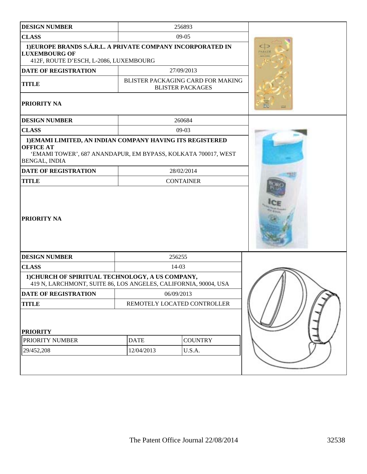| <b>DESIGN NUMBER</b>                                                                                                                                                   |                             | 256893                                                       |  |
|------------------------------------------------------------------------------------------------------------------------------------------------------------------------|-----------------------------|--------------------------------------------------------------|--|
| <b>CLASS</b>                                                                                                                                                           |                             | $09-05$                                                      |  |
| 1) EUROPE BRANDS S.Á.R.L. A PRIVATE COMPANY INCORPORATED IN<br><b>LUXEMBOURG OF</b><br>412F, ROUTE D'ESCH, L-2086, LUXEMBOURG                                          | Œ<br><b>FA 前尾製</b>          |                                                              |  |
| DATE OF REGISTRATION                                                                                                                                                   |                             | 27/09/2013                                                   |  |
| <b>TITLE</b>                                                                                                                                                           |                             | BLISTER PACKAGING CARD FOR MAKING<br><b>BLISTER PACKAGES</b> |  |
| PRIORITY NA                                                                                                                                                            |                             |                                                              |  |
| <b>DESIGN NUMBER</b>                                                                                                                                                   |                             | 260684                                                       |  |
| <b>CLASS</b>                                                                                                                                                           |                             | $09-03$                                                      |  |
| 1) EMAMI LIMITED, AN INDIAN COMPANY HAVING ITS REGISTERED<br><b>OFFICE AT</b><br>'EMAMI TOWER', 687 ANANDAPUR, EM BYPASS, KOLKATA 700017, WEST<br><b>BENGAL, INDIA</b> |                             |                                                              |  |
| <b>DATE OF REGISTRATION</b>                                                                                                                                            |                             | 28/02/2014                                                   |  |
| <b>TITLE</b>                                                                                                                                                           |                             | <b>CONTAINER</b>                                             |  |
| PRIORITY NA                                                                                                                                                            |                             |                                                              |  |
| <b>DESIGN NUMBER</b>                                                                                                                                                   |                             | 256255                                                       |  |
| <b>CLASS</b>                                                                                                                                                           |                             | $14-03$                                                      |  |
| 1) CHURCH OF SPIRITUAL TECHNOLOGY, A US COMPANY,<br>419 N, LARCHMONT, SUITE 86, LOS ANGELES, CALIFORNIA, 90004, USA                                                    |                             |                                                              |  |
| <b>DATE OF REGISTRATION</b>                                                                                                                                            | 06/09/2013                  |                                                              |  |
| <b>TITLE</b>                                                                                                                                                           | REMOTELY LOCATED CONTROLLER |                                                              |  |
| <b>PRIORITY</b><br>PRIORITY NUMBER<br>29/452,208                                                                                                                       | <b>DATE</b><br>12/04/2013   | <b>COUNTRY</b><br>U.S.A.                                     |  |
|                                                                                                                                                                        |                             |                                                              |  |
|                                                                                                                                                                        |                             |                                                              |  |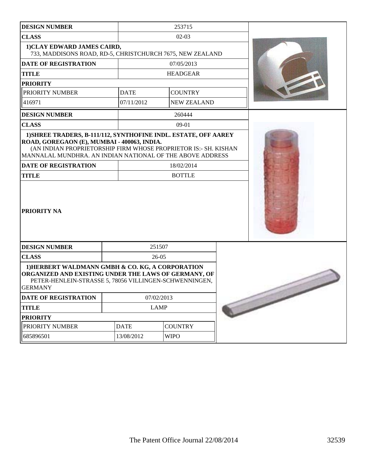| <b>DESIGN NUMBER</b>                                                                                                                                                                                       |             | 253715             |  |
|------------------------------------------------------------------------------------------------------------------------------------------------------------------------------------------------------------|-------------|--------------------|--|
| <b>CLASS</b>                                                                                                                                                                                               |             | $02-03$            |  |
| 1) CLAY EDWARD JAMES CAIRD,<br>733, MADDISONS ROAD, RD-5, CHRISTCHURCH 7675, NEW ZEALAND                                                                                                                   |             |                    |  |
| <b>DATE OF REGISTRATION</b>                                                                                                                                                                                |             | 07/05/2013         |  |
| <b>TITLE</b>                                                                                                                                                                                               |             | <b>HEADGEAR</b>    |  |
| <b>PRIORITY</b>                                                                                                                                                                                            |             |                    |  |
| PRIORITY NUMBER                                                                                                                                                                                            | <b>DATE</b> | <b>COUNTRY</b>     |  |
| 416971                                                                                                                                                                                                     | 07/11/2012  | <b>NEW ZEALAND</b> |  |
| <b>DESIGN NUMBER</b>                                                                                                                                                                                       |             | 260444             |  |
| <b>CLASS</b>                                                                                                                                                                                               |             | $09-01$            |  |
| ROAD, GOREGAON (E), MUMBAI - 400063, INDIA.<br>(AN INDIAN PROPRIETORSHIP FIRM WHOSE PROPRIETOR IS:- SH. KISHAN<br>MANNALAL MUNDHRA. AN INDIAN NATIONAL OF THE ABOVE ADDRESS<br><b>DATE OF REGISTRATION</b> |             | 18/02/2014         |  |
| <b>TITLE</b>                                                                                                                                                                                               |             | <b>BOTTLE</b>      |  |
| <b>PRIORITY NA</b>                                                                                                                                                                                         |             |                    |  |
| <b>DESIGN NUMBER</b>                                                                                                                                                                                       |             | 251507             |  |
| <b>CLASS</b>                                                                                                                                                                                               |             | $26 - 05$          |  |
| 1) HERBERT WALDMANN GMBH & CO. KG, A CORPORATION<br>ORGANIZED AND EXISTING UNDER THE LAWS OF GERMANY, OF<br>PETER-HENLEIN-STRASSE 5, 78056 VILLINGEN-SCHWENNINGEN,<br><b>GERMANY</b>                       |             |                    |  |
| 07/02/2013<br><b>DATE OF REGISTRATION</b>                                                                                                                                                                  |             |                    |  |
| <b>TITLE</b>                                                                                                                                                                                               |             | <b>LAMP</b>        |  |
| <b>PRIORITY</b>                                                                                                                                                                                            |             |                    |  |
| PRIORITY NUMBER                                                                                                                                                                                            | <b>DATE</b> | <b>COUNTRY</b>     |  |
| 685896501                                                                                                                                                                                                  | 13/08/2012  | <b>WIPO</b>        |  |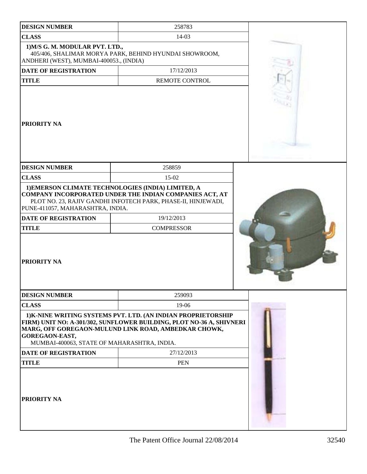| <b>DESIGN NUMBER</b>                                                       | 258783                                                                                                                                                                                        |  |
|----------------------------------------------------------------------------|-----------------------------------------------------------------------------------------------------------------------------------------------------------------------------------------------|--|
| <b>CLASS</b>                                                               | $14-03$                                                                                                                                                                                       |  |
| 1) M/S G. M. MODULAR PVT. LTD.,<br>ANDHERI (WEST), MUMBAI-400053., (INDIA) | 405/406, SHALIMAR MORYA PARK, BEHIND HYUNDAI SHOWROOM,                                                                                                                                        |  |
| <b>DATE OF REGISTRATION</b>                                                | 17/12/2013                                                                                                                                                                                    |  |
| <b>TITLE</b>                                                               | <b>REMOTE CONTROL</b>                                                                                                                                                                         |  |
| PRIORITY NA                                                                |                                                                                                                                                                                               |  |
| <b>DESIGN NUMBER</b>                                                       | 258859                                                                                                                                                                                        |  |
| <b>CLASS</b>                                                               | 15-02                                                                                                                                                                                         |  |
| PUNE-411057, MAHARASHTRA, INDIA.                                           | 1) EMERSON CLIMATE TECHNOLOGIES (INDIA) LIMITED, A<br>COMPANY INCORPORATED UNDER THE INDIAN COMPANIES ACT, AT<br>PLOT NO. 23, RAJIV GANDHI INFOTECH PARK, PHASE-II, HINJEWADI,                |  |
| <b>DATE OF REGISTRATION</b><br><b>TITLE</b>                                | 19/12/2013<br><b>COMPRESSOR</b>                                                                                                                                                               |  |
| PRIORITY NA                                                                |                                                                                                                                                                                               |  |
| <b>DESIGN NUMBER</b>                                                       | 259093                                                                                                                                                                                        |  |
| <b>CLASS</b>                                                               | 19-06                                                                                                                                                                                         |  |
| GOREGAON-EAST,<br>MUMBAI-400063, STATE OF MAHARASHTRA, INDIA.              | 1) K-NINE WRITING SYSTEMS PVT. LTD. (AN INDIAN PROPRIETORSHIP<br>FIRM) UNIT NO: A-301/302, SUNFLOWER BUILDING, PLOT NO-36 A, SHIVNERI<br>MARG, OFF GOREGAON-MULUND LINK ROAD, AMBEDKAR CHOWK, |  |
| <b>DATE OF REGISTRATION</b>                                                | 27/12/2013                                                                                                                                                                                    |  |
| <b>TITLE</b>                                                               | <b>PEN</b>                                                                                                                                                                                    |  |
| PRIORITY NA                                                                |                                                                                                                                                                                               |  |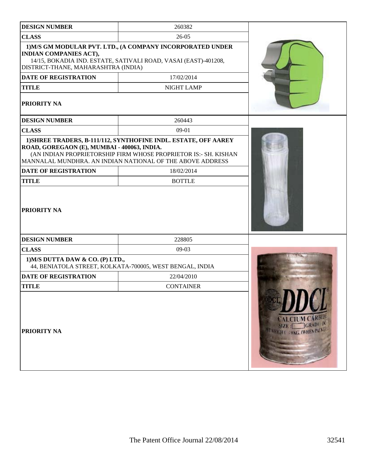| <b>DESIGN NUMBER</b>                                                                                                                                                                                  | 260382                                                                                                                                                                                          |                                                                     |
|-------------------------------------------------------------------------------------------------------------------------------------------------------------------------------------------------------|-------------------------------------------------------------------------------------------------------------------------------------------------------------------------------------------------|---------------------------------------------------------------------|
| <b>CLASS</b>                                                                                                                                                                                          | $26-05$                                                                                                                                                                                         |                                                                     |
| 1) M/S GM MODULAR PVT. LTD., (A COMPANY INCORPORATED UNDER<br><b>INDIAN COMPANIES ACT),</b><br>14/15, BOKADIA IND. ESTATE, SATIVALI ROAD, VASAI (EAST)-401208,<br>DISTRICT-THANE, MAHARASHTRA (INDIA) |                                                                                                                                                                                                 |                                                                     |
| <b>DATE OF REGISTRATION</b>                                                                                                                                                                           | 17/02/2014                                                                                                                                                                                      |                                                                     |
| <b>TITLE</b>                                                                                                                                                                                          | NIGHT LAMP                                                                                                                                                                                      |                                                                     |
| <b>PRIORITY NA</b>                                                                                                                                                                                    |                                                                                                                                                                                                 |                                                                     |
| <b>DESIGN NUMBER</b>                                                                                                                                                                                  | 260443                                                                                                                                                                                          |                                                                     |
| <b>CLASS</b>                                                                                                                                                                                          | 09-01                                                                                                                                                                                           |                                                                     |
| ROAD, GOREGAON (E), MUMBAI - 400063, INDIA.                                                                                                                                                           | 1) SHREE TRADERS, B-111/112, SYNTHOFINE INDL. ESTATE, OFF AAREY<br>(AN INDIAN PROPRIETORSHIP FIRM WHOSE PROPRIETOR IS:- SH. KISHAN<br>MANNALAL MUNDHRA. AN INDIAN NATIONAL OF THE ABOVE ADDRESS |                                                                     |
| <b>DATE OF REGISTRATION</b>                                                                                                                                                                           | 18/02/2014                                                                                                                                                                                      |                                                                     |
| <b>TITLE</b>                                                                                                                                                                                          | <b>BOTTLE</b>                                                                                                                                                                                   |                                                                     |
| <b>PRIORITY NA</b>                                                                                                                                                                                    |                                                                                                                                                                                                 |                                                                     |
| <b>DESIGN NUMBER</b>                                                                                                                                                                                  | 228805                                                                                                                                                                                          |                                                                     |
| <b>CLASS</b>                                                                                                                                                                                          | 09-03                                                                                                                                                                                           |                                                                     |
| 1) M/S DUTTA DAW & CO. (P) LTD.,                                                                                                                                                                      | 44, BENIATOLA STREET, KOLKATA-700005, WEST BENGAL, INDIA                                                                                                                                        |                                                                     |
| <b>DATE OF REGISTRATION</b>                                                                                                                                                                           | 22/04/2010                                                                                                                                                                                      |                                                                     |
| <b>TITLE</b>                                                                                                                                                                                          | <b>CONTAINER</b>                                                                                                                                                                                |                                                                     |
| <b>PRIORITY NA</b>                                                                                                                                                                                    |                                                                                                                                                                                                 | <b>ALCIUM CARBIDE</b><br>IZE: GRADE: A<br>WERGHT SORG, OVHEN PACKED |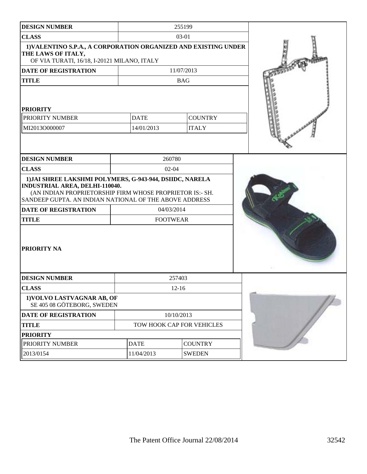| <b>DESIGN NUMBER</b>                                                                                                                                                                                                    |                           |                |  |
|-------------------------------------------------------------------------------------------------------------------------------------------------------------------------------------------------------------------------|---------------------------|----------------|--|
| <b>CLASS</b>                                                                                                                                                                                                            |                           |                |  |
| 1) VALENTINO S.P.A., A CORPORATION ORGANIZED AND EXISTING UNDER<br>THE LAWS OF ITALY,<br>OF VIA TURATI, 16/18, I-20121 MILANO, ITALY                                                                                    |                           |                |  |
| DATE OF REGISTRATION                                                                                                                                                                                                    |                           | 11/07/2013     |  |
| <b>TITLE</b>                                                                                                                                                                                                            |                           | <b>BAG</b>     |  |
| <b>PRIORITY</b>                                                                                                                                                                                                         |                           |                |  |
| PRIORITY NUMBER                                                                                                                                                                                                         | <b>DATE</b>               | <b>COUNTRY</b> |  |
| MI2013O000007                                                                                                                                                                                                           | 14/01/2013                | <b>ITALY</b>   |  |
|                                                                                                                                                                                                                         |                           |                |  |
| <b>DESIGN NUMBER</b>                                                                                                                                                                                                    | 260780                    |                |  |
| <b>CLASS</b>                                                                                                                                                                                                            | $02 - 04$                 |                |  |
| 1) JAI SHREE LAKSHMI POLYMERS, G-943-944, DSIIDC, NARELA<br><b>INDUSTRIAL AREA, DELHI-110040.</b><br>(AN INDIAN PROPRIETORSHIP FIRM WHOSE PROPRIETOR IS:- SH.<br>SANDEEP GUPTA. AN INDIAN NATIONAL OF THE ABOVE ADDRESS |                           |                |  |
| <b>DATE OF REGISTRATION</b>                                                                                                                                                                                             | 04/03/2014                |                |  |
| <b>TITLE</b>                                                                                                                                                                                                            | <b>FOOTWEAR</b>           |                |  |
| <b>PRIORITY NA</b>                                                                                                                                                                                                      |                           |                |  |
| <b>DESIGN NUMBER</b>                                                                                                                                                                                                    |                           | 257403         |  |
| <b>CLASS</b>                                                                                                                                                                                                            |                           | $12 - 16$      |  |
| 1) VOLVO LASTVAGNAR AB, OF<br>SE 405 08 GÖTEBORG, SWEDEN                                                                                                                                                                |                           |                |  |
| <b>DATE OF REGISTRATION</b>                                                                                                                                                                                             |                           | 10/10/2013     |  |
| <b>TITLE</b>                                                                                                                                                                                                            | TOW HOOK CAP FOR VEHICLES |                |  |
| <b>PRIORITY</b>                                                                                                                                                                                                         |                           |                |  |
| PRIORITY NUMBER                                                                                                                                                                                                         | <b>DATE</b>               | <b>COUNTRY</b> |  |
| 2013/0154                                                                                                                                                                                                               | 11/04/2013                | <b>SWEDEN</b>  |  |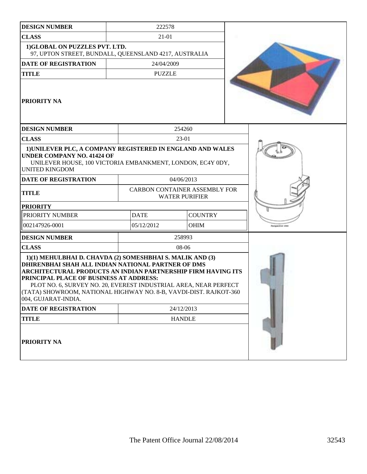| <b>DESIGN NUMBER</b>                                                                                                                                                                                                                                                                                                                                                                       |             | 222578                                                        |                         |
|--------------------------------------------------------------------------------------------------------------------------------------------------------------------------------------------------------------------------------------------------------------------------------------------------------------------------------------------------------------------------------------------|-------------|---------------------------------------------------------------|-------------------------|
| <b>CLASS</b>                                                                                                                                                                                                                                                                                                                                                                               |             |                                                               |                         |
| 1)GLOBAL ON PUZZLES PVT. LTD.<br>97, UPTON STREET, BUNDALL, QUEENSLAND 4217, AUSTRALIA                                                                                                                                                                                                                                                                                                     |             |                                                               |                         |
| <b>DATE OF REGISTRATION</b>                                                                                                                                                                                                                                                                                                                                                                |             | 24/04/2009                                                    |                         |
| <b>TITLE</b>                                                                                                                                                                                                                                                                                                                                                                               |             | <b>PUZZLE</b>                                                 |                         |
| <b>PRIORITY NA</b>                                                                                                                                                                                                                                                                                                                                                                         |             |                                                               |                         |
| <b>DESIGN NUMBER</b>                                                                                                                                                                                                                                                                                                                                                                       |             | 254260                                                        |                         |
| <b>CLASS</b>                                                                                                                                                                                                                                                                                                                                                                               |             | 23-01                                                         |                         |
| 1) UNILEVER PLC, A COMPANY REGISTERED IN ENGLAND AND WALES<br><b>UNDER COMPANY NO. 41424 OF</b><br>UNILEVER HOUSE, 100 VICTORIA EMBANKMENT, LONDON, EC4Y 0DY,<br><b>UNITED KINGDOM</b>                                                                                                                                                                                                     |             |                                                               |                         |
| DATE OF REGISTRATION                                                                                                                                                                                                                                                                                                                                                                       |             | 04/06/2013                                                    |                         |
| <b>TITLE</b>                                                                                                                                                                                                                                                                                                                                                                               |             | <b>CARBON CONTAINER ASSEMBLY FOR</b><br><b>WATER PURIFIER</b> |                         |
| <b>PRIORITY</b>                                                                                                                                                                                                                                                                                                                                                                            |             |                                                               |                         |
| PRIORITY NUMBER                                                                                                                                                                                                                                                                                                                                                                            | <b>DATE</b> | <b>COUNTRY</b>                                                |                         |
| 002147926-0001                                                                                                                                                                                                                                                                                                                                                                             | 05/12/2012  | <b>OHIM</b>                                                   | <b>Parspective view</b> |
| <b>DESIGN NUMBER</b>                                                                                                                                                                                                                                                                                                                                                                       |             | 258993                                                        |                         |
| <b>CLASS</b>                                                                                                                                                                                                                                                                                                                                                                               |             | 08-06                                                         |                         |
| 1)(1) MEHULBHAI D. CHAVDA (2) SOMESHBHAI S. MALIK AND (3)<br>DHIRENBHAI SHAH ALL INDIAN NATIONAL PARTNER OF DMS<br>ARCHITECTURAL PRODUCTS AN INDIAN PARTNERSHIP FIRM HAVING ITS<br>PRINCIPAL PLACE OF BUSINESS AT ADDRESS:<br>PLOT NO. 6, SURVEY NO. 20, EVEREST INDUSTRIAL AREA, NEAR PERFECT<br>(TATA) SHOWROOM, NATIONAL HIGHWAY NO. 8-B, VAVDI-DIST. RAJKOT-360<br>004, GUJARAT-INDIA. |             |                                                               |                         |
| DATE OF REGISTRATION                                                                                                                                                                                                                                                                                                                                                                       |             | 24/12/2013                                                    |                         |
| <b>TITLE</b>                                                                                                                                                                                                                                                                                                                                                                               |             | <b>HANDLE</b>                                                 |                         |
| <b>PRIORITY NA</b>                                                                                                                                                                                                                                                                                                                                                                         |             |                                                               |                         |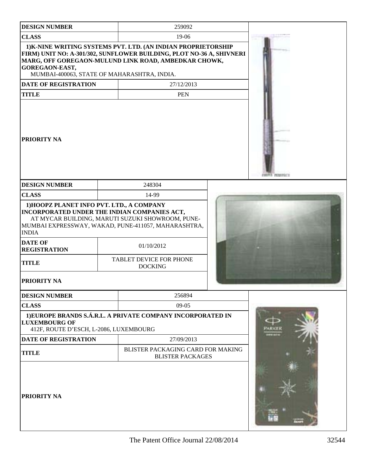| <b>DESIGN NUMBER</b>                                                                                                                               |                                                              | 259092                                                                                                                                                                                        |  |  |
|----------------------------------------------------------------------------------------------------------------------------------------------------|--------------------------------------------------------------|-----------------------------------------------------------------------------------------------------------------------------------------------------------------------------------------------|--|--|
| <b>CLASS</b>                                                                                                                                       |                                                              | 19-06                                                                                                                                                                                         |  |  |
| GOREGAON-EAST,<br>MUMBAI-400063, STATE OF MAHARASHTRA, INDIA.                                                                                      |                                                              | 1) K-NINE WRITING SYSTEMS PVT. LTD. (AN INDIAN PROPRIETORSHIP<br>FIRM) UNIT NO: A-301/302, SUNFLOWER BUILDING, PLOT NO-36 A, SHIVNERI<br>MARG, OFF GOREGAON-MULUND LINK ROAD, AMBEDKAR CHOWK, |  |  |
| <b>DATE OF REGISTRATION</b>                                                                                                                        |                                                              | 27/12/2013                                                                                                                                                                                    |  |  |
| <b>TITLE</b>                                                                                                                                       |                                                              | <b>PEN</b>                                                                                                                                                                                    |  |  |
| <b>PRIORITY NA</b>                                                                                                                                 |                                                              |                                                                                                                                                                                               |  |  |
| <b>DESIGN NUMBER</b>                                                                                                                               |                                                              | 248304                                                                                                                                                                                        |  |  |
| <b>CLASS</b>                                                                                                                                       |                                                              | 14-99                                                                                                                                                                                         |  |  |
| 1) HOOPZ PLANET INFO PVT. LTD., A COMPANY<br>INCORPORATED UNDER THE INDIAN COMPANIES ACT,<br><b>INDIA</b><br><b>DATE OF</b><br><b>REGISTRATION</b> |                                                              | AT MYCAR BUILDING, MARUTI SUZUKI SHOWROOM, PUNE-<br>MUMBAI EXPRESSWAY, WAKAD, PUNE-411057, MAHARASHTRA,<br>01/10/2012                                                                         |  |  |
| <b>TITLE</b>                                                                                                                                       |                                                              | TABLET DEVICE FOR PHONE<br><b>DOCKING</b>                                                                                                                                                     |  |  |
| <b>PRIORITY NA</b>                                                                                                                                 |                                                              |                                                                                                                                                                                               |  |  |
| <b>DESIGN NUMBER</b>                                                                                                                               |                                                              | 256894                                                                                                                                                                                        |  |  |
| <b>CLASS</b>                                                                                                                                       |                                                              | $09-05$                                                                                                                                                                                       |  |  |
| <b>LUXEMBOURG OF</b><br>412F, ROUTE D'ESCH, L-2086, LUXEMBOURG                                                                                     |                                                              | 1) EUROPE BRANDS S.Á.R.L. A PRIVATE COMPANY INCORPORATED IN                                                                                                                                   |  |  |
| <b>DATE OF REGISTRATION</b>                                                                                                                        |                                                              | 27/09/2013                                                                                                                                                                                    |  |  |
| <b>TITLE</b>                                                                                                                                       | BLISTER PACKAGING CARD FOR MAKING<br><b>BLISTER PACKAGES</b> |                                                                                                                                                                                               |  |  |
| <b>PRIORITY NA</b>                                                                                                                                 |                                                              |                                                                                                                                                                                               |  |  |

The Patent Office Journal 22/08/2014 32544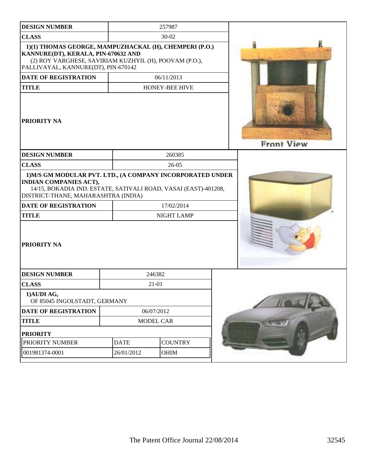| <b>DESIGN NUMBER</b>                                                                                                                                                                                                                 |             | 257987            |                   |
|--------------------------------------------------------------------------------------------------------------------------------------------------------------------------------------------------------------------------------------|-------------|-------------------|-------------------|
| <b>CLASS</b>                                                                                                                                                                                                                         |             | 30-02             |                   |
| 1)(1) THOMAS GEORGE, MAMPUZHACKAL (H), CHEMPERI (P.O.)<br>KANNURE(DT), KERALA, PIN-670632 AND<br>(2) ROY VARGHESE, SAVIRIAM KUZHYIL (H), POOVAM (P.O.),<br>PALLIVAYAL, KANNURE(DT), PIN-670142                                       |             |                   |                   |
| <b>DATE OF REGISTRATION</b>                                                                                                                                                                                                          |             | 06/11/2013        |                   |
| <b>TITLE</b>                                                                                                                                                                                                                         |             | HONEY-BEE HIVE    |                   |
| PRIORITY NA                                                                                                                                                                                                                          |             |                   | <b>Front View</b> |
| <b>DESIGN NUMBER</b>                                                                                                                                                                                                                 |             | 260385            |                   |
| <b>CLASS</b>                                                                                                                                                                                                                         |             | $26 - 05$         |                   |
| 1) M/S GM MODULAR PVT. LTD., (A COMPANY INCORPORATED UNDER<br><b>INDIAN COMPANIES ACT),</b><br>14/15, BOKADIA IND. ESTATE, SATIVALI ROAD, VASAI (EAST)-401208,<br>DISTRICT-THANE, MAHARASHTRA (INDIA)<br><b>DATE OF REGISTRATION</b> |             | 17/02/2014        |                   |
| <b>TITLE</b>                                                                                                                                                                                                                         |             | <b>NIGHT LAMP</b> |                   |
| PRIORITY NA                                                                                                                                                                                                                          |             |                   |                   |
| <b>DESIGN NUMBER</b>                                                                                                                                                                                                                 |             | 246382            |                   |
| <b>CLASS</b>                                                                                                                                                                                                                         |             | 21-01             |                   |
| 1) AUDI AG,<br>OF 85045 INGOLSTADT, GERMANY                                                                                                                                                                                          |             |                   |                   |
| DATE OF REGISTRATION                                                                                                                                                                                                                 |             | 06/07/2012        |                   |
| <b>TITLE</b>                                                                                                                                                                                                                         |             | MODEL CAR         |                   |
| <b>PRIORITY</b>                                                                                                                                                                                                                      |             |                   |                   |
| PRIORITY NUMBER                                                                                                                                                                                                                      | <b>DATE</b> | <b>COUNTRY</b>    |                   |
| 001981374-0001                                                                                                                                                                                                                       | 26/01/2012  | OHIM              |                   |
|                                                                                                                                                                                                                                      |             |                   |                   |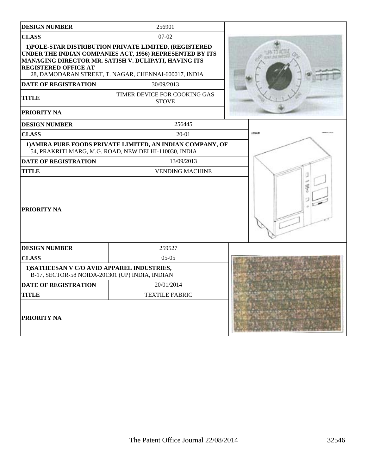| <b>DESIGN NUMBER</b>                                                                           | 256901                                                                                                                                                                                                                              |        |
|------------------------------------------------------------------------------------------------|-------------------------------------------------------------------------------------------------------------------------------------------------------------------------------------------------------------------------------------|--------|
| <b>CLASS</b>                                                                                   | $07-02$                                                                                                                                                                                                                             |        |
| <b>REGISTERED OFFICE AT</b>                                                                    | 1) POLE-STAR DISTRIBUTION PRIVATE LIMITED, (REGISTERED<br>UNDER THE INDIAN COMPANIES ACT, 1956) REPRESENTED BY ITS<br>MANAGING DIRECTOR MR. SATISH V. DULIPATI, HAVING ITS<br>28, DAMODARAN STREET, T. NAGAR, CHENNAI-600017, INDIA |        |
| DATE OF REGISTRATION                                                                           | 30/09/2013                                                                                                                                                                                                                          |        |
| <b>TITLE</b>                                                                                   | TIMER DEVICE FOR COOKING GAS<br><b>STOVE</b>                                                                                                                                                                                        |        |
| PRIORITY NA                                                                                    |                                                                                                                                                                                                                                     |        |
| <b>DESIGN NUMBER</b>                                                                           | 256445                                                                                                                                                                                                                              |        |
| <b>CLASS</b>                                                                                   | 20-01                                                                                                                                                                                                                               | 256445 |
|                                                                                                | 1) AMIRA PURE FOODS PRIVATE LIMITED, AN INDIAN COMPANY, OF<br>54, PRAKRITI MARG, M.G. ROAD, NEW DELHI-110030, INDIA                                                                                                                 |        |
| <b>DATE OF REGISTRATION</b>                                                                    | 13/09/2013                                                                                                                                                                                                                          |        |
| <b>TITLE</b>                                                                                   | <b>VENDING MACHINE</b>                                                                                                                                                                                                              |        |
| PRIORITY NA                                                                                    |                                                                                                                                                                                                                                     |        |
| <b>DESIGN NUMBER</b>                                                                           | 259527                                                                                                                                                                                                                              |        |
| <b>CLASS</b>                                                                                   | $05-05$                                                                                                                                                                                                                             |        |
| 1) SATHEESAN V C/O AVID APPAREL INDUSTRIES,<br>B-17, SECTOR-58 NOIDA-201301 (UP) INDIA, INDIAN |                                                                                                                                                                                                                                     |        |
| DATE OF REGISTRATION                                                                           | 20/01/2014                                                                                                                                                                                                                          |        |
| <b>TITLE</b>                                                                                   | <b>TEXTILE FABRIC</b>                                                                                                                                                                                                               |        |
| PRIORITY NA                                                                                    |                                                                                                                                                                                                                                     |        |

I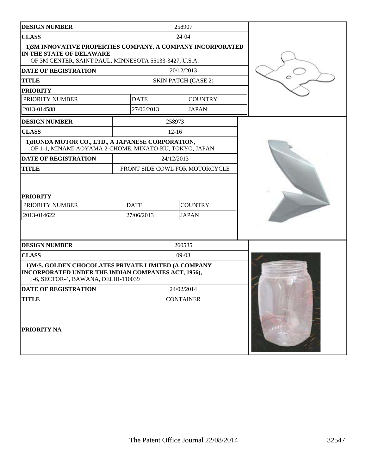| <b>DESIGN NUMBER</b>                                                                                                                               |                           | 258907                         |  |
|----------------------------------------------------------------------------------------------------------------------------------------------------|---------------------------|--------------------------------|--|
| <b>CLASS</b>                                                                                                                                       |                           | 24-04                          |  |
| 1) 3M INNOVATIVE PROPERTIES COMPANY, A COMPANY INCORPORATED<br>IN THE STATE OF DELAWARE<br>OF 3M CENTER, SAINT PAUL, MINNESOTA 55133-3427, U.S.A.  |                           |                                |  |
| <b>DATE OF REGISTRATION</b>                                                                                                                        |                           | 20/12/2013                     |  |
| <b>TITLE</b>                                                                                                                                       |                           | <b>SKIN PATCH (CASE 2)</b>     |  |
| <b>PRIORITY</b>                                                                                                                                    |                           |                                |  |
| PRIORITY NUMBER                                                                                                                                    | <b>DATE</b>               | <b>COUNTRY</b>                 |  |
| 2013-014588                                                                                                                                        | 27/06/2013                | <b>JAPAN</b>                   |  |
| <b>DESIGN NUMBER</b>                                                                                                                               |                           | 258973                         |  |
| <b>CLASS</b>                                                                                                                                       |                           | $12 - 16$                      |  |
| 1) HONDA MOTOR CO., LTD., A JAPANESE CORPORATION,<br>OF 1-1, MINAMI-AOYAMA 2-CHOME, MINATO-KU, TOKYO, JAPAN                                        |                           |                                |  |
| <b>DATE OF REGISTRATION</b>                                                                                                                        |                           | 24/12/2013                     |  |
| <b>TITLE</b>                                                                                                                                       |                           | FRONT SIDE COWL FOR MOTORCYCLE |  |
| <b>PRIORITY</b><br>PRIORITY NUMBER<br>2013-014622                                                                                                  | <b>DATE</b><br>27/06/2013 | <b>COUNTRY</b><br><b>JAPAN</b> |  |
| <b>DESIGN NUMBER</b>                                                                                                                               |                           | 260585                         |  |
| <b>CLASS</b>                                                                                                                                       |                           | $09-03$                        |  |
| 1) M/S. GOLDEN CHOCOLATES PRIVATE LIMITED (A COMPANY<br>INCORPORATED UNDER THE INDIAN COMPANIES ACT, 1956),<br>J-6, SECTOR-4, BAWANA, DELHI-110039 |                           |                                |  |
| DATE OF REGISTRATION                                                                                                                               |                           | 24/02/2014                     |  |
| <b>TITLE</b>                                                                                                                                       |                           | <b>CONTAINER</b>               |  |
| <b>PRIORITY NA</b>                                                                                                                                 |                           |                                |  |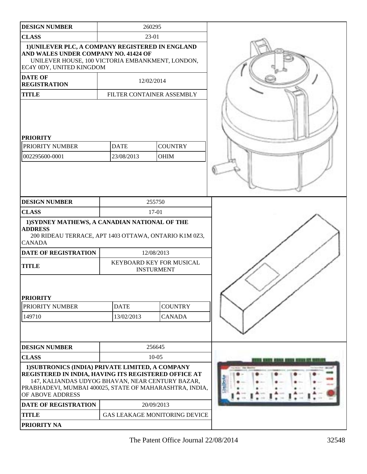| <b>DESIGN NUMBER</b>                                                                                                                                                                                                                        |             | 260295                                        |  |
|---------------------------------------------------------------------------------------------------------------------------------------------------------------------------------------------------------------------------------------------|-------------|-----------------------------------------------|--|
| <b>CLASS</b>                                                                                                                                                                                                                                | 23-01       |                                               |  |
| 1) UNILEVER PLC, A COMPANY REGISTERED IN ENGLAND<br>AND WALES UNDER COMPANY NO. 41424 OF<br>UNILEVER HOUSE, 100 VICTORIA EMBANKMENT, LONDON,<br>EC4Y 0DY, UNITED KINGDOM                                                                    |             |                                               |  |
| <b>DATE OF</b><br><b>REGISTRATION</b>                                                                                                                                                                                                       |             | 12/02/2014                                    |  |
| <b>TITLE</b>                                                                                                                                                                                                                                |             | FILTER CONTAINER ASSEMBLY                     |  |
| <b>PRIORITY</b><br>PRIORITY NUMBER                                                                                                                                                                                                          | <b>DATE</b> | <b>COUNTRY</b>                                |  |
| 002295600-0001                                                                                                                                                                                                                              | 23/08/2013  | <b>OHIM</b>                                   |  |
|                                                                                                                                                                                                                                             |             |                                               |  |
| <b>DESIGN NUMBER</b>                                                                                                                                                                                                                        |             | 255750                                        |  |
| <b>CLASS</b>                                                                                                                                                                                                                                |             | 17-01                                         |  |
| 1) SYDNEY MATHEWS, A CANADIAN NATIONAL OF THE<br><b>ADDRESS</b><br>200 RIDEAU TERRACE, APT 1403 OTTAWA, ONTARIO K1M 0Z3,<br><b>CANADA</b>                                                                                                   |             |                                               |  |
| <b>DATE OF REGISTRATION</b>                                                                                                                                                                                                                 |             | 12/08/2013                                    |  |
| <b>TITLE</b>                                                                                                                                                                                                                                |             | KEYBOARD KEY FOR MUSICAL<br><b>INSTURMENT</b> |  |
| <b>PRIORITY</b>                                                                                                                                                                                                                             |             |                                               |  |
| PRIORITY NUMBER                                                                                                                                                                                                                             | <b>DATE</b> | <b>COUNTRY</b>                                |  |
| 149710                                                                                                                                                                                                                                      | 13/02/2013  | <b>CANADA</b>                                 |  |
|                                                                                                                                                                                                                                             |             |                                               |  |
| <b>DESIGN NUMBER</b>                                                                                                                                                                                                                        |             | 256645                                        |  |
| <b>CLASS</b>                                                                                                                                                                                                                                | $10 - 05$   |                                               |  |
| 1) SUBTRONICS (INDIA) PRIVATE LIMITED, A COMPANY<br>REGISTERED IN INDIA, HAVING ITS REGISTERED OFFICE AT<br>147, KALIANDAS UDYOG BHAVAN, NEAR CENTURY BAZAR,<br>PRABHADEVI, MUMBAI 400025, STATE OF MAHARASHTRA, INDIA,<br>OF ABOVE ADDRESS |             |                                               |  |
| DATE OF REGISTRATION                                                                                                                                                                                                                        |             | 20/09/2013                                    |  |
| <b>TITLE</b>                                                                                                                                                                                                                                |             | <b>GAS LEAKAGE MONITORING DEVICE</b>          |  |
| PRIORITY NA                                                                                                                                                                                                                                 |             |                                               |  |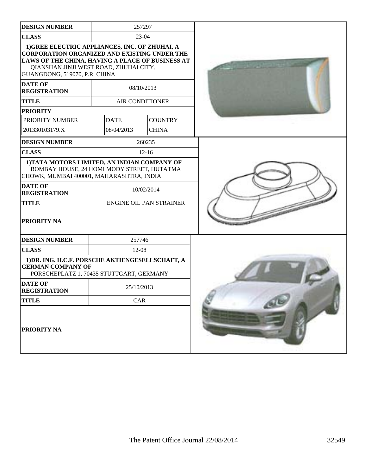| <b>DESIGN NUMBER</b>                                                                                                                                                                                                                 | 257297      |                                |  |
|--------------------------------------------------------------------------------------------------------------------------------------------------------------------------------------------------------------------------------------|-------------|--------------------------------|--|
| <b>CLASS</b>                                                                                                                                                                                                                         |             | 23-04                          |  |
| 1) GREE ELECTRIC APPLIANCES, INC. OF ZHUHAI, A<br><b>CORPORATION ORGANIZED AND EXISTING UNDER THE</b><br>LAWS OF THE CHINA, HAVING A PLACE OF BUSINESS AT<br>QIANSHAN JINJI WEST ROAD, ZHUHAI CITY,<br>GUANGDONG, 519070, P.R. CHINA |             |                                |  |
| <b>DATE OF</b><br><b>REGISTRATION</b>                                                                                                                                                                                                |             | 08/10/2013                     |  |
| <b>TITLE</b>                                                                                                                                                                                                                         |             | <b>AIR CONDITIONER</b>         |  |
| <b>PRIORITY</b>                                                                                                                                                                                                                      |             |                                |  |
| PRIORITY NUMBER                                                                                                                                                                                                                      | <b>DATE</b> | <b>COUNTRY</b>                 |  |
| 201330103179.X                                                                                                                                                                                                                       | 08/04/2013  | <b>CHINA</b>                   |  |
| <b>DESIGN NUMBER</b>                                                                                                                                                                                                                 |             | 260235                         |  |
| <b>CLASS</b>                                                                                                                                                                                                                         |             | $12 - 16$                      |  |
| 1) TATA MOTORS LIMITED, AN INDIAN COMPANY OF<br>BOMBAY HOUSE, 24 HOMI MODY STREET, HUTATMA<br>CHOWK, MUMBAI 400001, MAHARASHTRA, INDIA                                                                                               |             |                                |  |
| <b>DATE OF</b><br><b>REGISTRATION</b>                                                                                                                                                                                                |             | 10/02/2014                     |  |
| <b>TITLE</b>                                                                                                                                                                                                                         |             | <b>ENGINE OIL PAN STRAINER</b> |  |
| <b>PRIORITY NA</b>                                                                                                                                                                                                                   |             |                                |  |
| <b>DESIGN NUMBER</b>                                                                                                                                                                                                                 | 257746      |                                |  |
| <b>CLASS</b>                                                                                                                                                                                                                         | $12 - 08$   |                                |  |
| 1) DR. ING. H.C.F. PORSCHE AKTIENGESELLSCHAFT, A<br><b>GERMAN COMPANY OF</b><br>PORSCHEPLATZ 1, 70435 STUTTGART, GERMANY                                                                                                             |             |                                |  |
| <b>DATE OF</b><br><b>REGISTRATION</b>                                                                                                                                                                                                | 25/10/2013  |                                |  |
| <b>TITLE</b>                                                                                                                                                                                                                         | CAR         |                                |  |
| <b>PRIORITY NA</b>                                                                                                                                                                                                                   |             |                                |  |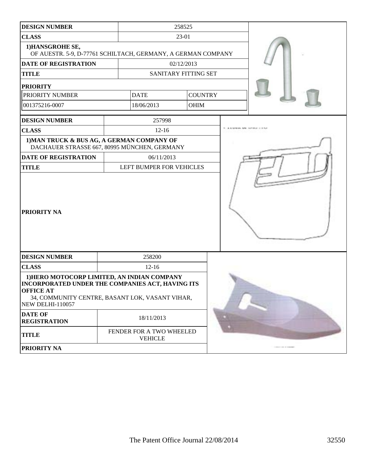| <b>DESIGN NUMBER</b>                                                                                                                                                                              |           | 258525                                     |  |                |  |  |
|---------------------------------------------------------------------------------------------------------------------------------------------------------------------------------------------------|-----------|--------------------------------------------|--|----------------|--|--|
| <b>CLASS</b>                                                                                                                                                                                      |           | 23-01                                      |  |                |  |  |
| 1) HANSGROHE SE,<br>OF AUESTR. 5-9, D-77761 SCHILTACH, GERMANY, A GERMAN COMPANY                                                                                                                  |           |                                            |  |                |  |  |
| <b>DATE OF REGISTRATION</b>                                                                                                                                                                       |           | 02/12/2013                                 |  |                |  |  |
| <b>TITLE</b>                                                                                                                                                                                      |           | SANITARY FITTING SET                       |  |                |  |  |
| <b>PRIORITY</b>                                                                                                                                                                                   |           |                                            |  |                |  |  |
| PRIORITY NUMBER                                                                                                                                                                                   |           | <b>DATE</b>                                |  | <b>COUNTRY</b> |  |  |
| 001375216-0007                                                                                                                                                                                    |           | 18/06/2013                                 |  | <b>OHIM</b>    |  |  |
| <b>DESIGN NUMBER</b>                                                                                                                                                                              |           | 257998                                     |  |                |  |  |
| <b>CLASS</b>                                                                                                                                                                                      |           | $12 - 16$                                  |  |                |  |  |
| 1) MAN TRUCK & BUS AG, A GERMAN COMPANY OF<br>DACHAUER STRASSE 667, 80995 MÜNCHEN, GERMANY                                                                                                        |           |                                            |  |                |  |  |
| <b>DATE OF REGISTRATION</b>                                                                                                                                                                       |           | 06/11/2013                                 |  |                |  |  |
| <b>TITLE</b>                                                                                                                                                                                      |           | LEFT BUMPER FOR VEHICLES                   |  |                |  |  |
| <b>PRIORITY NA</b>                                                                                                                                                                                |           |                                            |  |                |  |  |
| <b>DESIGN NUMBER</b>                                                                                                                                                                              |           | 258200                                     |  |                |  |  |
| <b>CLASS</b>                                                                                                                                                                                      | $12 - 16$ |                                            |  |                |  |  |
| 1) HERO MOTOCORP LIMITED, AN INDIAN COMPANY<br>INCORPORATED UNDER THE COMPANIES ACT, HAVING ITS<br><b>OFFICE AT</b><br>34, COMMUNITY CENTRE, BASANT LOK, VASANT VIHAR,<br><b>NEW DELHI-110057</b> |           |                                            |  |                |  |  |
| <b>DATE OF</b><br><b>REGISTRATION</b>                                                                                                                                                             |           | 18/11/2013                                 |  |                |  |  |
| <b>TITLE</b>                                                                                                                                                                                      |           | FENDER FOR A TWO WHEELED<br><b>VEHICLE</b> |  |                |  |  |
| PRIORITY NA                                                                                                                                                                                       |           |                                            |  |                |  |  |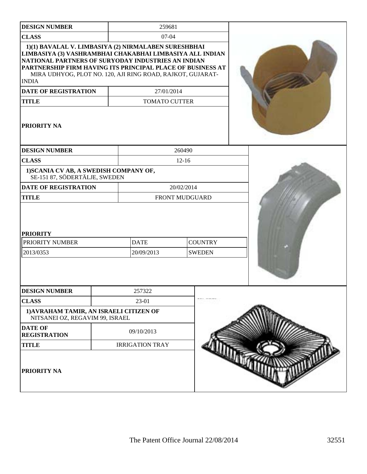| <b>DESIGN NUMBER</b>                                                                                                                                                                                                                                                                                               | 259681                    |                                 |  |
|--------------------------------------------------------------------------------------------------------------------------------------------------------------------------------------------------------------------------------------------------------------------------------------------------------------------|---------------------------|---------------------------------|--|
| <b>CLASS</b>                                                                                                                                                                                                                                                                                                       | $07 - 04$                 |                                 |  |
| 1)(1) BAVALAL V. LIMBASIYA (2) NIRMALABEN SURESHBHAI<br>LIMBASIYA (3) VASHRAMBHAI CHAKABHAI LIMBASIYA ALL INDIAN<br>NATIONAL PARTNERS OF SURYODAY INDUSTRIES AN INDIAN<br>PARTNERSHIP FIRM HAVING ITS PRINCIPAL PLACE OF BUSINESS AT<br>MIRA UDHYOG, PLOT NO. 120, AJI RING ROAD, RAJKOT, GUJARAT-<br><b>INDIA</b> |                           |                                 |  |
| <b>DATE OF REGISTRATION</b>                                                                                                                                                                                                                                                                                        | 27/01/2014                |                                 |  |
| <b>TITLE</b>                                                                                                                                                                                                                                                                                                       | <b>TOMATO CUTTER</b>      |                                 |  |
| PRIORITY NA                                                                                                                                                                                                                                                                                                        |                           |                                 |  |
| <b>DESIGN NUMBER</b>                                                                                                                                                                                                                                                                                               |                           | 260490                          |  |
| <b>CLASS</b>                                                                                                                                                                                                                                                                                                       |                           | $12 - 16$                       |  |
| 1) SCANIA CV AB, A SWEDISH COMPANY OF,<br>SE-151 87, SÖDERTÄLJE, SWEDEN                                                                                                                                                                                                                                            |                           |                                 |  |
| <b>DATE OF REGISTRATION</b>                                                                                                                                                                                                                                                                                        |                           | 20/02/2014                      |  |
| <b>TITLE</b>                                                                                                                                                                                                                                                                                                       |                           | FRONT MUDGUARD                  |  |
| <b>PRIORITY</b><br>PRIORITY NUMBER<br>2013/0353                                                                                                                                                                                                                                                                    | <b>DATE</b><br>20/09/2013 | <b>COUNTRY</b><br><b>SWEDEN</b> |  |
| <b>DESIGN NUMBER</b>                                                                                                                                                                                                                                                                                               | 257322                    |                                 |  |
| <b>CLASS</b>                                                                                                                                                                                                                                                                                                       | 23-01                     |                                 |  |
| 1) AVRAHAM TAMIR, AN ISRAELI CITIZEN OF<br>NITSANEI OZ, REGAVIM 99, ISRAEL                                                                                                                                                                                                                                         |                           |                                 |  |
| <b>DATE OF</b><br><b>REGISTRATION</b>                                                                                                                                                                                                                                                                              | 09/10/2013                |                                 |  |
| <b>TITLE</b>                                                                                                                                                                                                                                                                                                       | <b>IRRIGATION TRAY</b>    |                                 |  |
| PRIORITY NA                                                                                                                                                                                                                                                                                                        |                           |                                 |  |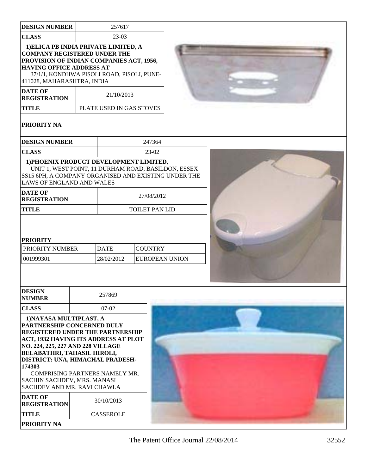| <b>DESIGN NUMBER</b>                                                                                                                                                                                                                                                                                                                                                                                                | 257617                                 |                |                                                     |  |
|---------------------------------------------------------------------------------------------------------------------------------------------------------------------------------------------------------------------------------------------------------------------------------------------------------------------------------------------------------------------------------------------------------------------|----------------------------------------|----------------|-----------------------------------------------------|--|
| <b>CLASS</b>                                                                                                                                                                                                                                                                                                                                                                                                        | 23-03                                  |                |                                                     |  |
| 1) ELICA PB INDIA PRIVATE LIMITED, A<br><b>COMPANY REGISTERED UNDER THE</b><br>PROVISION OF INDIAN COMPANIES ACT, 1956,<br><b>HAVING OFFICE ADDRESS AT</b><br>37/1/1, KONDHWA PISOLI ROAD, PISOLI, PUNE-<br>411028, MAHARASHTRA, INDIA<br><b>DATE OF</b><br><b>REGISTRATION</b><br><b>TITLE</b>                                                                                                                     | 21/10/2013<br>PLATE USED IN GAS STOVES |                |                                                     |  |
| <b>PRIORITY NA</b>                                                                                                                                                                                                                                                                                                                                                                                                  |                                        |                |                                                     |  |
| <b>DESIGN NUMBER</b>                                                                                                                                                                                                                                                                                                                                                                                                |                                        | 247364         |                                                     |  |
| <b>CLASS</b>                                                                                                                                                                                                                                                                                                                                                                                                        |                                        | 23-02          |                                                     |  |
| 1) PHOENIX PRODUCT DEVELOPMENT LIMITED,<br>SS15 6PH, A COMPANY ORGANISED AND EXISTING UNDER THE<br>LAWS OF ENGLAND AND WALES                                                                                                                                                                                                                                                                                        |                                        |                | UNIT 1, WEST POINT, 11 DURHAM ROAD, BASILDON, ESSEX |  |
| <b>DATE OF</b><br><b>REGISTRATION</b>                                                                                                                                                                                                                                                                                                                                                                               |                                        | 27/08/2012     |                                                     |  |
| <b>TITLE</b>                                                                                                                                                                                                                                                                                                                                                                                                        |                                        |                | TOILET PAN LID                                      |  |
| <b>PRIORITY</b><br>PRIORITY NUMBER<br>001999301                                                                                                                                                                                                                                                                                                                                                                     | <b>DATE</b><br>28/02/2012              | <b>COUNTRY</b> | <b>EUROPEAN UNION</b>                               |  |
| <b>DESIGN</b><br><b>NUMBER</b>                                                                                                                                                                                                                                                                                                                                                                                      | 257869                                 |                |                                                     |  |
| <b>CLASS</b>                                                                                                                                                                                                                                                                                                                                                                                                        | $07-02$                                |                |                                                     |  |
| 1) NAYASA MULTIPLAST, A<br>PARTNERSHIP CONCERNED DULY<br>REGISTERED UNDER THE PARTNERSHIP<br>ACT, 1932 HAVING ITS ADDRESS AT PLOT<br>NO. 224, 225, 227 AND 228 VILLAGE<br><b>BELABATHRI, TAHASIL HIROLI,</b><br>DISTRICT: UNA, HIMACHAL PRADESH-<br>174303<br>COMPRISING PARTNERS NAMELY MR.<br>SACHIN SACHDEV, MRS. MANASI<br>SACHDEV AND MR. RAVI CHAWLA<br><b>DATE OF</b><br><b>REGISTRATION</b><br><b>TITLE</b> | 30/10/2013<br><b>CASSEROLE</b>         |                |                                                     |  |
| PRIORITY NA                                                                                                                                                                                                                                                                                                                                                                                                         |                                        |                |                                                     |  |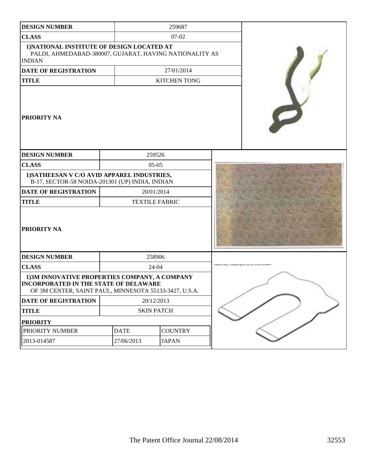| <b>DESIGN NUMBER</b>                                                                                                                                    | 259687            |                       |  |
|---------------------------------------------------------------------------------------------------------------------------------------------------------|-------------------|-----------------------|--|
| <b>CLASS</b>                                                                                                                                            |                   | $07-02$               |  |
| 1) NATIONAL INSTITUTE OF DESIGN LOCATED AT<br>PALDI, AHMEDABAD-380007, GUJARAT, HAVING NATIONALITY AS<br><b>INDIAN</b>                                  |                   |                       |  |
| <b>DATE OF REGISTRATION</b>                                                                                                                             |                   | 27/01/2014            |  |
| <b>TITLE</b>                                                                                                                                            |                   | <b>KITCHEN TONG</b>   |  |
| <b>PRIORITY NA</b>                                                                                                                                      |                   |                       |  |
| <b>DESIGN NUMBER</b>                                                                                                                                    |                   | 259526                |  |
| <b>CLASS</b>                                                                                                                                            |                   | $05-05$               |  |
| 1) SATHEESAN V C/O AVID APPAREL INDUSTRIES,<br>B-17, SECTOR-58 NOIDA-201301 (UP) INDIA, INDIAN                                                          |                   |                       |  |
| <b>DATE OF REGISTRATION</b>                                                                                                                             |                   | 20/01/2014            |  |
| <b>TITLE</b>                                                                                                                                            |                   | <b>TEXTILE FABRIC</b> |  |
| <b>PRIORITY NA</b>                                                                                                                                      |                   |                       |  |
| <b>DESIGN NUMBER</b>                                                                                                                                    |                   | 258906                |  |
| <b>CLASS</b>                                                                                                                                            | 24-04             |                       |  |
| 1)3M INNOVATIVE PROPERTIES COMPANY, A COMPANY<br><b>INCORPORATED IN THE STATE OF DELAWARE</b><br>OF 3M CENTER, SAINT PAUL, MINNESOTA 55133-3427, U.S.A. |                   |                       |  |
| DATE OF REGISTRATION                                                                                                                                    | 20/12/2013        |                       |  |
| <b>TITLE</b>                                                                                                                                            | <b>SKIN PATCH</b> |                       |  |
| <b>PRIORITY</b>                                                                                                                                         |                   |                       |  |
| PRIORITY NUMBER                                                                                                                                         | <b>DATE</b>       | <b>COUNTRY</b>        |  |
| 2013-014587                                                                                                                                             | 27/06/2013        | <b>JAPAN</b>          |  |
|                                                                                                                                                         |                   |                       |  |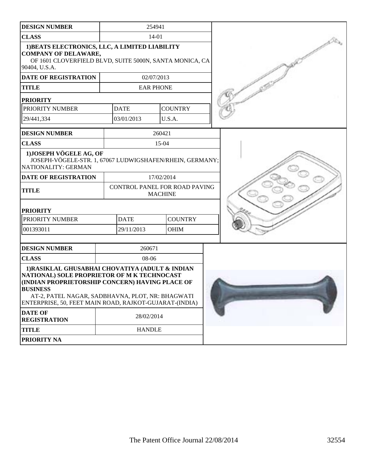| <b>DESIGN NUMBER</b>                                                                                                                                                                                                                                                               | 254941           |                                                 |  |
|------------------------------------------------------------------------------------------------------------------------------------------------------------------------------------------------------------------------------------------------------------------------------------|------------------|-------------------------------------------------|--|
| <b>CLASS</b>                                                                                                                                                                                                                                                                       | 14-01            |                                                 |  |
| 1) BEATS ELECTRONICS, LLC, A LIMITED LIABILITY<br><b>COMPANY OF DELAWARE,</b><br>OF 1601 CLOVERFIELD BLVD, SUITE 5000N, SANTA MONICA, CA<br>90404, U.S.A.                                                                                                                          |                  |                                                 |  |
| <b>DATE OF REGISTRATION</b>                                                                                                                                                                                                                                                        | 02/07/2013       |                                                 |  |
| <b>TITLE</b>                                                                                                                                                                                                                                                                       | <b>EAR PHONE</b> |                                                 |  |
| <b>PRIORITY</b>                                                                                                                                                                                                                                                                    |                  |                                                 |  |
| PRIORITY NUMBER                                                                                                                                                                                                                                                                    | <b>DATE</b>      | <b>COUNTRY</b>                                  |  |
| 29/441,334                                                                                                                                                                                                                                                                         | 03/01/2013       | U.S.A.                                          |  |
| <b>DESIGN NUMBER</b>                                                                                                                                                                                                                                                               |                  | 260421                                          |  |
| <b>CLASS</b>                                                                                                                                                                                                                                                                       |                  | 15-04                                           |  |
| 1) JOSEPH VÖGELE AG, OF<br>JOSEPH-VÖGELE-STR. 1, 67067 LUDWIGSHAFEN/RHEIN, GERMANY;<br>NATIONALITY: GERMAN                                                                                                                                                                         |                  |                                                 |  |
| DATE OF REGISTRATION                                                                                                                                                                                                                                                               |                  | 17/02/2014                                      |  |
| <b>TITLE</b>                                                                                                                                                                                                                                                                       |                  | CONTROL PANEL FOR ROAD PAVING<br><b>MACHINE</b> |  |
| <b>PRIORITY</b>                                                                                                                                                                                                                                                                    |                  |                                                 |  |
| PRIORITY NUMBER                                                                                                                                                                                                                                                                    | <b>DATE</b>      | <b>COUNTRY</b>                                  |  |
| 001393011                                                                                                                                                                                                                                                                          | 29/11/2013       | OHIM                                            |  |
| <b>DESIGN NUMBER</b>                                                                                                                                                                                                                                                               | 260671           |                                                 |  |
| <b>CLASS</b>                                                                                                                                                                                                                                                                       | 08-06            |                                                 |  |
| 1) RASIKLAL GHUSABHAI CHOVATIYA (ADULT & INDIAN<br>NATIONAL) SOLE PROPRIETOR OF M K TECHNOCAST<br>(INDIAN PROPRIETORSHIP CONCERN) HAVING PLACE OF<br><b>BUSINESS</b><br>AT-2, PATEL NAGAR, SADBHAVNA, PLOT, NR: BHAGWATI<br>ENTERPRISE, 50, FEET MAIN ROAD, RAJKOT-GUJARAT-(INDIA) |                  |                                                 |  |
| <b>DATE OF</b><br><b>REGISTRATION</b>                                                                                                                                                                                                                                              | 28/02/2014       |                                                 |  |
| <b>TITLE</b>                                                                                                                                                                                                                                                                       | <b>HANDLE</b>    |                                                 |  |
| <b>PRIORITY NA</b>                                                                                                                                                                                                                                                                 |                  |                                                 |  |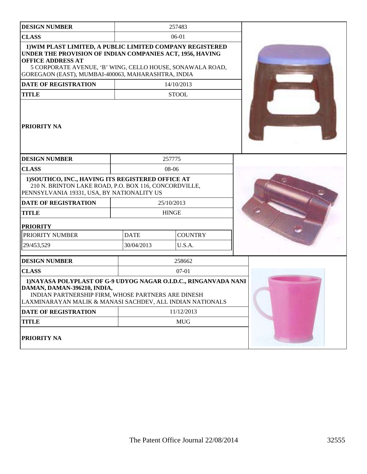| <b>DESIGN NUMBER</b>                                                                                                                                                                                                                                                  |             | 257483         |  |
|-----------------------------------------------------------------------------------------------------------------------------------------------------------------------------------------------------------------------------------------------------------------------|-------------|----------------|--|
| <b>CLASS</b>                                                                                                                                                                                                                                                          |             | 06-01          |  |
| 1) WIM PLAST LIMITED, A PUBLIC LIMITED COMPANY REGISTERED<br>UNDER THE PROVISION OF INDIAN COMPANIES ACT, 1956, HAVING<br><b>OFFICE ADDRESS AT</b><br>5 CORPORATE AVENUE, 'B' WING, CELLO HOUSE, SONAWALA ROAD,<br>GOREGAON (EAST), MUMBAI-400063, MAHARASHTRA, INDIA |             |                |  |
| DATE OF REGISTRATION                                                                                                                                                                                                                                                  |             | 14/10/2013     |  |
| <b>TITLE</b>                                                                                                                                                                                                                                                          |             | <b>STOOL</b>   |  |
| PRIORITY NA                                                                                                                                                                                                                                                           |             |                |  |
| <b>DESIGN NUMBER</b>                                                                                                                                                                                                                                                  |             | 257775         |  |
| <b>CLASS</b>                                                                                                                                                                                                                                                          |             | 08-06          |  |
| 1) SOUTHCO, INC., HAVING ITS REGISTERED OFFICE AT<br>210 N. BRINTON LAKE ROAD, P.O. BOX 116, CONCORDVILLE,<br>PENNSYLVANIA 19331, USA, BY NATIONALITY US                                                                                                              |             |                |  |
| <b>DATE OF REGISTRATION</b>                                                                                                                                                                                                                                           |             | 25/10/2013     |  |
| <b>TITLE</b>                                                                                                                                                                                                                                                          |             | <b>HINGE</b>   |  |
| <b>PRIORITY</b>                                                                                                                                                                                                                                                       |             |                |  |
| PRIORITY NUMBER                                                                                                                                                                                                                                                       | <b>DATE</b> | <b>COUNTRY</b> |  |
| 29/453,529                                                                                                                                                                                                                                                            | 30/04/2013  | U.S.A.         |  |
| <b>DESIGN NUMBER</b>                                                                                                                                                                                                                                                  |             | 258662         |  |
| <b>CLASS</b>                                                                                                                                                                                                                                                          |             | $07 - 01$      |  |
| 1) NAYASA POLYPLAST OF G-9 UDYOG NAGAR O.I.D.C., RINGANVADA NANI<br>DAMAN, DAMAN-396210, INDIA,<br>INDIAN PARTNERSHIP FIRM, WHOSE PARTNERS ARE DINESH<br>LAXMINARAYAN MALIK & MANASI SACHDEV, ALL INDIAN NATIONALS                                                    |             |                |  |
| <b>DATE OF REGISTRATION</b>                                                                                                                                                                                                                                           |             | 11/12/2013     |  |
| <b>TITLE</b>                                                                                                                                                                                                                                                          |             | <b>MUG</b>     |  |
| PRIORITY NA                                                                                                                                                                                                                                                           |             |                |  |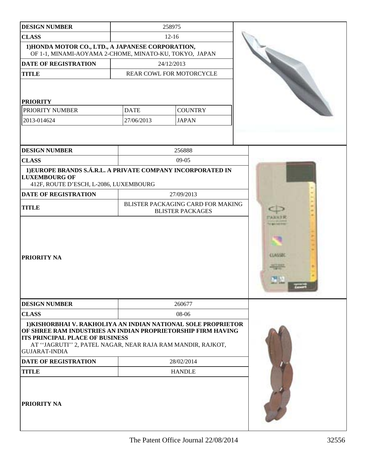| <b>DESIGN NUMBER</b>                                                                                                                                                                                                                                          |             | 258975                                                       |                |
|---------------------------------------------------------------------------------------------------------------------------------------------------------------------------------------------------------------------------------------------------------------|-------------|--------------------------------------------------------------|----------------|
| <b>CLASS</b>                                                                                                                                                                                                                                                  | $12-16$     |                                                              |                |
| 1) HONDA MOTOR CO., LTD., A JAPANESE CORPORATION,<br>OF 1-1, MINAMI-AOYAMA 2-CHOME, MINATO-KU, TOKYO, JAPAN                                                                                                                                                   |             |                                                              |                |
| <b>DATE OF REGISTRATION</b>                                                                                                                                                                                                                                   |             | 24/12/2013                                                   |                |
| <b>TITLE</b>                                                                                                                                                                                                                                                  |             | REAR COWL FOR MOTORCYCLE                                     |                |
| <b>PRIORITY</b>                                                                                                                                                                                                                                               |             |                                                              |                |
| PRIORITY NUMBER                                                                                                                                                                                                                                               | <b>DATE</b> | <b>COUNTRY</b>                                               |                |
| 2013-014624                                                                                                                                                                                                                                                   | 27/06/2013  | <b>JAPAN</b>                                                 |                |
|                                                                                                                                                                                                                                                               |             |                                                              |                |
| <b>DESIGN NUMBER</b>                                                                                                                                                                                                                                          |             | 256888                                                       |                |
| <b>CLASS</b>                                                                                                                                                                                                                                                  |             | $09-05$                                                      |                |
| 1) EUROPE BRANDS S.Á.R.L. A PRIVATE COMPANY INCORPORATED IN<br><b>LUXEMBOURG OF</b><br>412F, ROUTE D'ESCH, L-2086, LUXEMBOURG                                                                                                                                 |             |                                                              |                |
| <b>DATE OF REGISTRATION</b>                                                                                                                                                                                                                                   |             | 27/09/2013                                                   |                |
| <b>TITLE</b>                                                                                                                                                                                                                                                  |             | BLISTER PACKAGING CARD FOR MAKING<br><b>BLISTER PACKAGES</b> |                |
| <b>PRIORITY NA</b>                                                                                                                                                                                                                                            |             |                                                              | <b>CLASSIN</b> |
| <b>DESIGN NUMBER</b>                                                                                                                                                                                                                                          |             | 260677                                                       |                |
| <b>CLASS</b>                                                                                                                                                                                                                                                  |             | 08-06                                                        |                |
| 1) KISHORBHAI V. RAKHOLIYA AN INDIAN NATIONAL SOLE PROPRIETOR<br>OF SHREE RAM INDUSTRIES AN INDIAN PROPRIETORSHIP FIRM HAVING<br><b>ITS PRINCIPAL PLACE OF BUSINESS</b><br>AT "JAGRUTI" 2, PATEL NAGAR, NEAR RAJA RAM MANDIR, RAJKOT,<br><b>GUJARAT-INDIA</b> |             |                                                              |                |
| DATE OF REGISTRATION                                                                                                                                                                                                                                          |             | 28/02/2014                                                   |                |
| <b>TITLE</b>                                                                                                                                                                                                                                                  |             | <b>HANDLE</b>                                                |                |
| <b>PRIORITY NA</b>                                                                                                                                                                                                                                            |             |                                                              |                |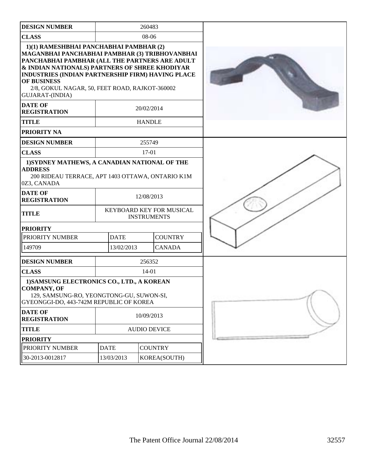| <b>DESIGN NUMBER</b>                                                                                                                                                                                                                                                                                                                   |                     | 260483                                         |  |
|----------------------------------------------------------------------------------------------------------------------------------------------------------------------------------------------------------------------------------------------------------------------------------------------------------------------------------------|---------------------|------------------------------------------------|--|
| <b>CLASS</b>                                                                                                                                                                                                                                                                                                                           | 08-06               |                                                |  |
| 1)(1) RAMESHBHAI PANCHABHAI PAMBHAR (2)<br>MAGANBHAI PANCHABHAI PAMBHAR (3) TRIBHOVANBHAI<br>PANCHABHAI PAMBHAR (ALL THE PARTNERS ARE ADULT<br>& INDIAN NATIONALS) PARTNERS OF SHREE KHODIYAR<br>INDUSTRIES (INDIAN PARTNERSHIP FIRM) HAVING PLACE<br>OF BUSINESS<br>2/8, GOKUL NAGAR, 50, FEET ROAD, RAJKOT-360002<br>GUJARAT-(INDIA) |                     |                                                |  |
| <b>DATE OF</b><br><b>REGISTRATION</b>                                                                                                                                                                                                                                                                                                  |                     | 20/02/2014                                     |  |
| <b>TITLE</b>                                                                                                                                                                                                                                                                                                                           |                     | <b>HANDLE</b>                                  |  |
| PRIORITY NA                                                                                                                                                                                                                                                                                                                            |                     |                                                |  |
| <b>DESIGN NUMBER</b>                                                                                                                                                                                                                                                                                                                   |                     | 255749                                         |  |
| <b>CLASS</b>                                                                                                                                                                                                                                                                                                                           |                     | 17-01                                          |  |
| 1) SYDNEY MATHEWS, A CANADIAN NATIONAL OF THE<br><b>ADDRESS</b><br>200 RIDEAU TERRACE, APT 1403 OTTAWA, ONTARIO K1M<br>0Z3, CANADA                                                                                                                                                                                                     |                     |                                                |  |
| <b>DATE OF</b><br><b>REGISTRATION</b>                                                                                                                                                                                                                                                                                                  |                     | 12/08/2013                                     |  |
| <b>TITLE</b>                                                                                                                                                                                                                                                                                                                           |                     | KEYBOARD KEY FOR MUSICAL<br><b>INSTRUMENTS</b> |  |
| <b>PRIORITY</b>                                                                                                                                                                                                                                                                                                                        |                     |                                                |  |
| PRIORITY NUMBER                                                                                                                                                                                                                                                                                                                        | <b>DATE</b>         | <b>COUNTRY</b>                                 |  |
| 149709                                                                                                                                                                                                                                                                                                                                 | 13/02/2013          | <b>CANADA</b>                                  |  |
| <b>DESIGN NUMBER</b>                                                                                                                                                                                                                                                                                                                   |                     | 256352                                         |  |
| <b>CLASS</b>                                                                                                                                                                                                                                                                                                                           |                     | $14 - 01$                                      |  |
| 1) SAMSUNG ELECTRONICS CO., LTD., A KOREAN<br><b>COMPANY, OF</b><br>129, SAMSUNG-RO, YEONGTONG-GU, SUWON-SI,<br>GYEONGGI-DO, 443-742M REPUBLIC OF KOREA                                                                                                                                                                                |                     |                                                |  |
| <b>DATE OF</b><br><b>REGISTRATION</b>                                                                                                                                                                                                                                                                                                  | 10/09/2013          |                                                |  |
| <b>TITLE</b>                                                                                                                                                                                                                                                                                                                           | <b>AUDIO DEVICE</b> |                                                |  |
| <b>PRIORITY</b>                                                                                                                                                                                                                                                                                                                        |                     |                                                |  |
| PRIORITY NUMBER                                                                                                                                                                                                                                                                                                                        | <b>DATE</b>         | <b>COUNTRY</b>                                 |  |
| 30-2013-0012817                                                                                                                                                                                                                                                                                                                        | 13/03/2013          | KOREA(SOUTH)                                   |  |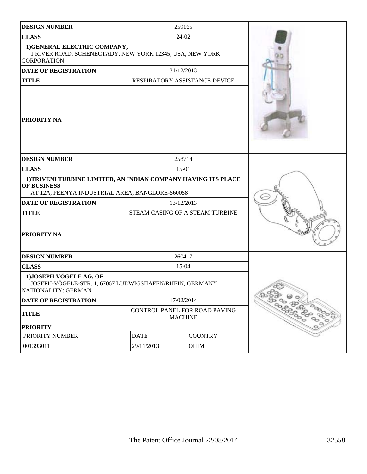| <b>DESIGN NUMBER</b>                                                                                                             |                                 | 259165         |  |                             |
|----------------------------------------------------------------------------------------------------------------------------------|---------------------------------|----------------|--|-----------------------------|
| <b>CLASS</b>                                                                                                                     | 24-02                           |                |  |                             |
| 1) GENERAL ELECTRIC COMPANY,<br>1 RIVER ROAD, SCHENECTADY, NEW YORK 12345, USA, NEW YORK<br><b>CORPORATION</b>                   |                                 |                |  |                             |
| <b>DATE OF REGISTRATION</b>                                                                                                      | 31/12/2013                      |                |  |                             |
| <b>TITLE</b>                                                                                                                     | RESPIRATORY ASSISTANCE DEVICE   |                |  |                             |
| <b>PRIORITY NA</b>                                                                                                               |                                 |                |  |                             |
| <b>DESIGN NUMBER</b>                                                                                                             |                                 | 258714         |  |                             |
| <b>CLASS</b>                                                                                                                     |                                 | $15-01$        |  |                             |
| 1) TRIVENI TURBINE LIMITED, AN INDIAN COMPANY HAVING ITS PLACE<br>OF BUSINESS<br>AT 12A, PEENYA INDUSTRIAL AREA, BANGLORE-560058 |                                 |                |  |                             |
| DATE OF REGISTRATION                                                                                                             | 13/12/2013                      |                |  |                             |
| <b>TITLE</b>                                                                                                                     | STEAM CASING OF A STEAM TURBINE |                |  |                             |
| <b>PRIORITY NA</b>                                                                                                               |                                 |                |  |                             |
| <b>DESIGN NUMBER</b>                                                                                                             | 260417                          |                |  |                             |
| <b>CLASS</b>                                                                                                                     | 15-04                           |                |  |                             |
| 1) JOSEPH VÖGELE AG, OF<br>JOSEPH-VÖGELE-STR. 1, 67067 LUDWIGSHAFEN/RHEIN, GERMANY;<br>NATIONALITY: GERMAN                       |                                 |                |  |                             |
| DATE OF REGISTRATION                                                                                                             | 17/02/2014                      |                |  |                             |
| <b>TITLE</b>                                                                                                                     | CONTROL PANEL FOR ROAD PAVING   | <b>MACHINE</b> |  | <b>PROGRESS COOPERATION</b> |
| <b>PRIORITY</b>                                                                                                                  |                                 |                |  |                             |
| PRIORITY NUMBER                                                                                                                  | <b>DATE</b>                     | <b>COUNTRY</b> |  |                             |
| 001393011                                                                                                                        | 29/11/2013<br>OHIM              |                |  |                             |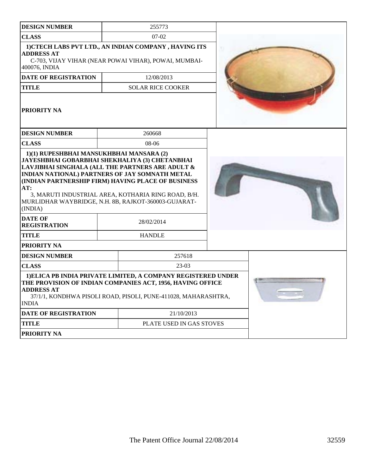| <b>DESIGN NUMBER</b>                                                                                                                                                   |        | 255773                                                                                                                                                                                        |  |  |
|------------------------------------------------------------------------------------------------------------------------------------------------------------------------|--------|-----------------------------------------------------------------------------------------------------------------------------------------------------------------------------------------------|--|--|
| <b>CLASS</b>                                                                                                                                                           |        | $07-02$                                                                                                                                                                                       |  |  |
| <b>ADDRESS AT</b><br>400076, INDIA                                                                                                                                     |        | 1) CTECH LABS PVT LTD., AN INDIAN COMPANY, HAVING ITS<br>C-703, VIJAY VIHAR (NEAR POWAI VIHAR), POWAI, MUMBAI-                                                                                |  |  |
| <b>DATE OF REGISTRATION</b>                                                                                                                                            |        | 12/08/2013                                                                                                                                                                                    |  |  |
| <b>TITLE</b>                                                                                                                                                           |        | <b>SOLAR RICE COOKER</b>                                                                                                                                                                      |  |  |
| <b>PRIORITY NA</b>                                                                                                                                                     |        |                                                                                                                                                                                               |  |  |
| <b>DESIGN NUMBER</b>                                                                                                                                                   |        | 260668                                                                                                                                                                                        |  |  |
| <b>CLASS</b>                                                                                                                                                           |        | 08-06                                                                                                                                                                                         |  |  |
| JAYESHBHAI GOBARBHAI SHEKHALIYA (3) CHETANBHAI<br>LAVJIBHAI SINGHALA (ALL THE PARTNERS ARE ADULT &<br>INDIAN NATIONAL) PARTNERS OF JAY SOMNATH METAL<br>AT:<br>(INDIA) |        | (INDIAN PARTNERSHIP FIRM) HAVING PLACE OF BUSINESS<br>3, MARUTI INDUSTRIAL AREA, KOTHARIA RING ROAD, B/H.<br>MURLIDHAR WAYBRIDGE, N.H. 8B, RAJKOT-360003-GUJARAT-                             |  |  |
| <b>DATE OF</b><br><b>REGISTRATION</b>                                                                                                                                  |        | 28/02/2014                                                                                                                                                                                    |  |  |
| <b>TITLE</b>                                                                                                                                                           |        | <b>HANDLE</b>                                                                                                                                                                                 |  |  |
| <b>PRIORITY NA</b>                                                                                                                                                     |        |                                                                                                                                                                                               |  |  |
| <b>DESIGN NUMBER</b>                                                                                                                                                   | 257618 |                                                                                                                                                                                               |  |  |
| <b>CLASS</b><br>$23-03$                                                                                                                                                |        |                                                                                                                                                                                               |  |  |
| <b>ADDRESS AT</b><br><b>INDIA</b>                                                                                                                                      |        | 1) ELICA PB INDIA PRIVATE LIMITED, A COMPANY REGISTERED UNDER<br>THE PROVISION OF INDIAN COMPANIES ACT, 1956, HAVING OFFICE<br>37/1/1, KONDHWA PISOLI ROAD, PISOLI, PUNE-411028, MAHARASHTRA, |  |  |
| <b>DATE OF REGISTRATION</b>                                                                                                                                            |        | 21/10/2013                                                                                                                                                                                    |  |  |
| <b>TITLE</b>                                                                                                                                                           |        | PLATE USED IN GAS STOVES                                                                                                                                                                      |  |  |
| PRIORITY NA                                                                                                                                                            |        |                                                                                                                                                                                               |  |  |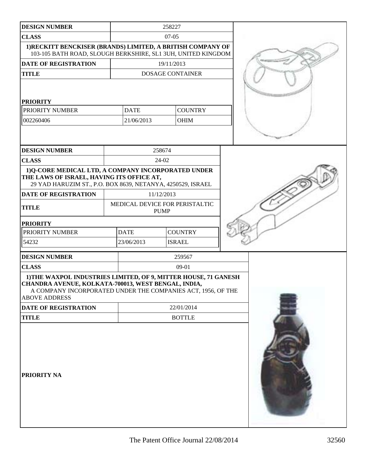| <b>DESIGN NUMBER</b>                                                                                                                                                                                           |            | 258227                                        |                         |  |  |
|----------------------------------------------------------------------------------------------------------------------------------------------------------------------------------------------------------------|------------|-----------------------------------------------|-------------------------|--|--|
| <b>CLASS</b>                                                                                                                                                                                                   |            | $07-05$                                       |                         |  |  |
| 1) RECKITT BENCKISER (BRANDS) LIMITED, A BRITISH COMPANY OF<br>103-105 BATH ROAD, SLOUGH BERKSHIRE, SL1 3UH, UNITED KINGDOM                                                                                    |            |                                               |                         |  |  |
| DATE OF REGISTRATION                                                                                                                                                                                           |            | 19/11/2013                                    |                         |  |  |
| <b>TITLE</b>                                                                                                                                                                                                   |            |                                               | <b>DOSAGE CONTAINER</b> |  |  |
| <b>PRIORITY</b>                                                                                                                                                                                                |            |                                               |                         |  |  |
| PRIORITY NUMBER                                                                                                                                                                                                |            | <b>DATE</b>                                   | <b>COUNTRY</b>          |  |  |
| 002260406                                                                                                                                                                                                      |            | 21/06/2013                                    | <b>OHIM</b>             |  |  |
|                                                                                                                                                                                                                |            |                                               |                         |  |  |
| <b>DESIGN NUMBER</b>                                                                                                                                                                                           |            | 258674                                        |                         |  |  |
| <b>CLASS</b>                                                                                                                                                                                                   |            | 24-02                                         |                         |  |  |
| 1)Q-CORE MEDICAL LTD, A COMPANY INCORPORATED UNDER<br>THE LAWS OF ISRAEL, HAVING ITS OFFICE AT,<br>29 YAD HARUZIM ST., P.O. BOX 8639, NETANYA, 4250529, ISRAEL                                                 |            |                                               |                         |  |  |
| <b>DATE OF REGISTRATION</b>                                                                                                                                                                                    |            | 11/12/2013                                    |                         |  |  |
| <b>TITLE</b>                                                                                                                                                                                                   |            | MEDICAL DEVICE FOR PERISTALTIC<br><b>PUMP</b> |                         |  |  |
| <b>PRIORITY</b>                                                                                                                                                                                                |            |                                               |                         |  |  |
| PRIORITY NUMBER                                                                                                                                                                                                |            | <b>DATE</b><br><b>COUNTRY</b>                 |                         |  |  |
| 54232                                                                                                                                                                                                          | 23/06/2013 |                                               | <b>ISRAEL</b>           |  |  |
| <b>DESIGN NUMBER</b>                                                                                                                                                                                           |            | 259567                                        |                         |  |  |
| <b>CLASS</b>                                                                                                                                                                                                   | $09-01$    |                                               |                         |  |  |
| 1) THE WAXPOL INDUSTRIES LIMITED, OF 9, MITTER HOUSE, 71 GANESH<br>CHANDRA AVENUE, KOLKATA-700013, WEST BENGAL, INDIA,<br>A COMPANY INCORPORATED UNDER THE COMPANIES ACT, 1956, OF THE<br><b>ABOVE ADDRESS</b> |            |                                               |                         |  |  |
| DATE OF REGISTRATION                                                                                                                                                                                           |            |                                               | 22/01/2014              |  |  |
| <b>TITLE</b>                                                                                                                                                                                                   |            |                                               | <b>BOTTLE</b>           |  |  |
| <b>PRIORITY NA</b>                                                                                                                                                                                             |            |                                               |                         |  |  |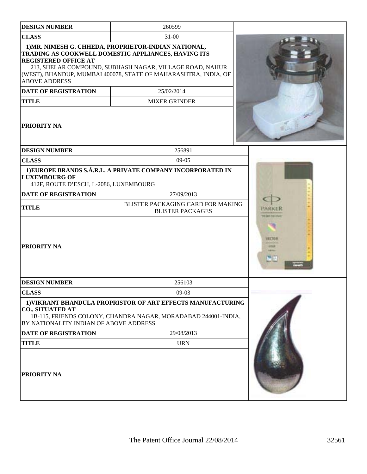| <b>DESIGN NUMBER</b>                                              | 260599                                                                                                                                                                                                                                     |                                              |
|-------------------------------------------------------------------|--------------------------------------------------------------------------------------------------------------------------------------------------------------------------------------------------------------------------------------------|----------------------------------------------|
| <b>CLASS</b>                                                      | $31 - 00$                                                                                                                                                                                                                                  |                                              |
| <b>REGISTERED OFFICE AT</b><br><b>ABOVE ADDRESS</b>               | 1) MR. NIMESH G. CHHEDA, PROPRIETOR-INDIAN NATIONAL,<br>TRADING AS COOKWELL DOMESTIC APPLIANCES, HAVING ITS<br>213, SHELAR COMPOUND, SUBHASH NAGAR, VILLAGE ROAD, NAHUR<br>(WEST), BHANDUP, MUMBAI 400078, STATE OF MAHARASHTRA, INDIA, OF |                                              |
| <b>DATE OF REGISTRATION</b>                                       | 25/02/2014                                                                                                                                                                                                                                 |                                              |
| <b>TITLE</b>                                                      | <b>MIXER GRINDER</b>                                                                                                                                                                                                                       |                                              |
| PRIORITY NA                                                       |                                                                                                                                                                                                                                            |                                              |
| <b>DESIGN NUMBER</b>                                              | 256891                                                                                                                                                                                                                                     |                                              |
| <b>CLASS</b>                                                      | $09-05$                                                                                                                                                                                                                                    |                                              |
| <b>LUXEMBOURG OF</b><br>412F, ROUTE D'ESCH, L-2086, LUXEMBOURG    | 1) EUROPE BRANDS S.Á.R.L. A PRIVATE COMPANY INCORPORATED IN                                                                                                                                                                                |                                              |
| <b>DATE OF REGISTRATION</b>                                       | 27/09/2013                                                                                                                                                                                                                                 |                                              |
| <b>TITLE</b>                                                      | BLISTER PACKAGING CARD FOR MAKING<br><b>BLISTER PACKAGES</b>                                                                                                                                                                               | 热试试图<br>the last his low.                    |
| PRIORITY NA                                                       |                                                                                                                                                                                                                                            | MIT DEL<br><b>HTM</b><br><b>Address</b><br>e |
| <b>DESIGN NUMBER</b>                                              | 256103                                                                                                                                                                                                                                     |                                              |
| <b>CLASS</b>                                                      | $09-03$                                                                                                                                                                                                                                    |                                              |
| <b>CO., SITUATED AT</b><br>BY NATIONALITY INDIAN OF ABOVE ADDRESS | 1) VIKRANT BHANDULA PROPRISTOR OF ART EFFECTS MANUFACTURING<br>1B-115, FRIENDS COLONY, CHANDRA NAGAR, MORADABAD 244001-INDIA,                                                                                                              |                                              |
| <b>DATE OF REGISTRATION</b>                                       | 29/08/2013                                                                                                                                                                                                                                 |                                              |
| <b>TITLE</b>                                                      | <b>URN</b>                                                                                                                                                                                                                                 |                                              |
| PRIORITY NA                                                       |                                                                                                                                                                                                                                            |                                              |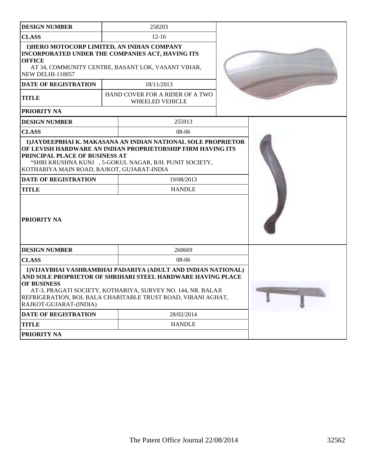|                                                                                                                                                                                                                                                                                                       |            | 258203                                                                                                                                                                                  |  |  |
|-------------------------------------------------------------------------------------------------------------------------------------------------------------------------------------------------------------------------------------------------------------------------------------------------------|------------|-----------------------------------------------------------------------------------------------------------------------------------------------------------------------------------------|--|--|
| <b>DESIGN NUMBER</b>                                                                                                                                                                                                                                                                                  |            |                                                                                                                                                                                         |  |  |
| <b>CLASS</b>                                                                                                                                                                                                                                                                                          | $12 - 16$  |                                                                                                                                                                                         |  |  |
| 1) HERO MOTOCORP LIMITED, AN INDIAN COMPANY<br>INCORPORATED UNDER THE COMPANIES ACT, HAVING ITS                                                                                                                                                                                                       |            |                                                                                                                                                                                         |  |  |
| <b>OFFICE</b>                                                                                                                                                                                                                                                                                         |            |                                                                                                                                                                                         |  |  |
| <b>NEW DELHI-110057</b>                                                                                                                                                                                                                                                                               |            | AT 34, COMMUNITY CENTRE, BASANT LOK, VASANT VIHAR,                                                                                                                                      |  |  |
| <b>DATE OF REGISTRATION</b>                                                                                                                                                                                                                                                                           |            | 18/11/2013                                                                                                                                                                              |  |  |
| <b>TITLE</b>                                                                                                                                                                                                                                                                                          |            | HAND COVER FOR A RIDER OF A TWO<br>WHEELED VEHICLE                                                                                                                                      |  |  |
| <b>PRIORITY NA</b>                                                                                                                                                                                                                                                                                    |            |                                                                                                                                                                                         |  |  |
| <b>DESIGN NUMBER</b>                                                                                                                                                                                                                                                                                  |            | 255913                                                                                                                                                                                  |  |  |
| <b>CLASS</b>                                                                                                                                                                                                                                                                                          |            | 08-06                                                                                                                                                                                   |  |  |
| PRINCIPAL PLACE OF BUSINESS AT<br>KOTHARIYA MAIN ROAD, RAJKOT, GUJARAT-INDIA                                                                                                                                                                                                                          |            | 1) JAYDEEPBHAI K. MAKASANA AN INDIAN NATIONAL SOLE PROPRIETOR<br>OF LEVISH HARDWARE AN INDIAN PROPRIETORSHIP FIRM HAVING ITS<br>"SHRI KRUSHNA KUNJ , 5-GOKUL NAGAR, B/H. PUNIT SOCIETY, |  |  |
| <b>DATE OF REGISTRATION</b>                                                                                                                                                                                                                                                                           |            | 19/08/2013                                                                                                                                                                              |  |  |
| <b>TITLE</b>                                                                                                                                                                                                                                                                                          |            | <b>HANDLE</b>                                                                                                                                                                           |  |  |
| <b>PRIORITY NA</b>                                                                                                                                                                                                                                                                                    |            |                                                                                                                                                                                         |  |  |
| <b>DESIGN NUMBER</b>                                                                                                                                                                                                                                                                                  |            | 260669                                                                                                                                                                                  |  |  |
| <b>CLASS</b><br>08-06                                                                                                                                                                                                                                                                                 |            |                                                                                                                                                                                         |  |  |
| 1) VIJAYBHAI VASHRAMBHAI PADARIYA (ADULT AND INDIAN NATIONAL)<br>AND SOLE PROPRIETOR OF SHRIHARI STEEL HARDWARE HAVING PLACE<br>OF BUSINESS<br>AT-3, PRAGATI SOCIETY, KOTHARIYA, SURVEY NO. 144, NR. BALAJI<br>REFRIGERATION, BOL BALA CHARITABLE TRUST ROAD, VIRANI AGHAT,<br>RAJKOT-GUJARAT-(INDIA) |            |                                                                                                                                                                                         |  |  |
| <b>DATE OF REGISTRATION</b>                                                                                                                                                                                                                                                                           | 28/02/2014 |                                                                                                                                                                                         |  |  |
| <b>TITLE</b><br><b>HANDLE</b>                                                                                                                                                                                                                                                                         |            |                                                                                                                                                                                         |  |  |
| PRIORITY NA                                                                                                                                                                                                                                                                                           |            |                                                                                                                                                                                         |  |  |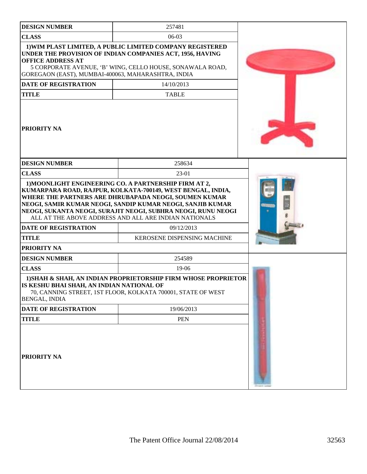| <b>DESIGN NUMBER</b>                                                           | 257481                                                                                                                                                                                                                                        |  |
|--------------------------------------------------------------------------------|-----------------------------------------------------------------------------------------------------------------------------------------------------------------------------------------------------------------------------------------------|--|
| <b>CLASS</b>                                                                   | $06-03$                                                                                                                                                                                                                                       |  |
| <b>OFFICE ADDRESS AT</b><br>GOREGAON (EAST), MUMBAI-400063, MAHARASHTRA, INDIA | 1) WIM PLAST LIMITED, A PUBLIC LIMITED COMPANY REGISTERED<br>UNDER THE PROVISION OF INDIAN COMPANIES ACT, 1956, HAVING<br>5 CORPORATE AVENUE, 'B' WING, CELLO HOUSE, SONAWALA ROAD,                                                           |  |
| <b>DATE OF REGISTRATION</b>                                                    | 14/10/2013                                                                                                                                                                                                                                    |  |
| <b>TITLE</b>                                                                   | <b>TABLE</b>                                                                                                                                                                                                                                  |  |
| <b>PRIORITY NA</b>                                                             |                                                                                                                                                                                                                                               |  |
| <b>DESIGN NUMBER</b>                                                           | 258634                                                                                                                                                                                                                                        |  |
| <b>CLASS</b>                                                                   | 23-01                                                                                                                                                                                                                                         |  |
|                                                                                | WHERE THE PARTNERS ARE DHRUBAPADA NEOGI, SOUMEN KUMAR<br>NEOGI, SAMIR KUMAR NEOGI, SANDIP KUMAR NEOGI, SANJIB KUMAR<br>NEOGI, SUKANTA NEOGI, SURAJIT NEOGI, SUBHRA NEOGI, RUNU NEOGI<br>ALL AT THE ABOVE ADDRESS AND ALL ARE INDIAN NATIONALS |  |
| <b>DATE OF REGISTRATION</b>                                                    | 09/12/2013                                                                                                                                                                                                                                    |  |
| <b>TITLE</b>                                                                   | KEROSENE DISPENSING MACHINE                                                                                                                                                                                                                   |  |
| PRIORITY NA                                                                    |                                                                                                                                                                                                                                               |  |
| <b>DESIGN NUMBER</b>                                                           | 254589                                                                                                                                                                                                                                        |  |
| <b>CLASS</b>                                                                   | 19-06                                                                                                                                                                                                                                         |  |
| IS KESHU BHAI SHAH, AN INDIAN NATIONAL OF<br>BENGAL, INDIA                     | 1) SHAH & SHAH, AN INDIAN PROPRIETORSHIP FIRM WHOSE PROPRIETOR<br>70, CANNING STREET, 1ST FLOOR, KOLKATA 700001, STATE OF WEST                                                                                                                |  |
| DATE OF REGISTRATION                                                           | 19/06/2013                                                                                                                                                                                                                                    |  |
| <b>TITLE</b>                                                                   | <b>PEN</b>                                                                                                                                                                                                                                    |  |
| PRIORITY NA                                                                    |                                                                                                                                                                                                                                               |  |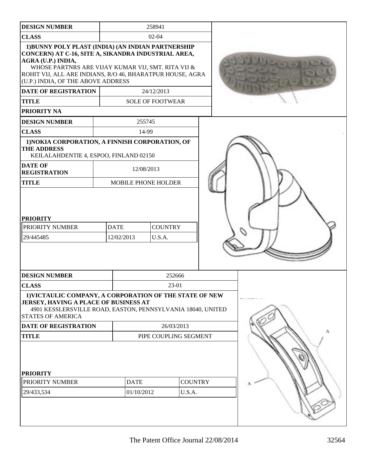| <b>DESIGN NUMBER</b>                                                                                                                                                                                                                                                                                                                                   |                       | 258941                                 |                          |  |  |
|--------------------------------------------------------------------------------------------------------------------------------------------------------------------------------------------------------------------------------------------------------------------------------------------------------------------------------------------------------|-----------------------|----------------------------------------|--------------------------|--|--|
| <b>CLASS</b>                                                                                                                                                                                                                                                                                                                                           | $02-04$               |                                        |                          |  |  |
| 1) BUNNY POLY PLAST (INDIA) (AN INDIAN PARTNERSHIP<br>CONCERN) AT C-16, SITE A, SIKANDRA INDUSTRIAL AREA,<br>AGRA (U.P.) INDIA,<br>WHOSE PARTNRS ARE VIJAY KUMAR VIJ, SMT. RITA VIJ &<br>ROHIT VIJ, ALL ARE INDIANS, R/O 46, BHARATPUR HOUSE, AGRA<br>(U.P.) INDIA, OF THE ABOVE ADDRESS<br><b>DATE OF REGISTRATION</b><br><b>TITLE</b><br>PRIORITY NA |                       | 24/12/2013<br><b>SOLE OF FOOTWEAR</b>  |                          |  |  |
| <b>DESIGN NUMBER</b>                                                                                                                                                                                                                                                                                                                                   |                       | 255745                                 |                          |  |  |
| <b>CLASS</b>                                                                                                                                                                                                                                                                                                                                           |                       | 14-99                                  |                          |  |  |
| 1) NOKIA CORPORATION, A FINNISH CORPORATION, OF<br><b>THE ADDRESS</b><br>KEILALAHDENTIE 4, ESPOO, FINLAND 02150<br><b>DATE OF</b>                                                                                                                                                                                                                      |                       |                                        |                          |  |  |
| <b>REGISTRATION</b>                                                                                                                                                                                                                                                                                                                                    |                       | 12/08/2013                             |                          |  |  |
| <b>TITLE</b>                                                                                                                                                                                                                                                                                                                                           |                       | <b>MOBILE PHONE HOLDER</b>             |                          |  |  |
| <b>PRIORITY</b><br>PRIORITY NUMBER<br>29/445485                                                                                                                                                                                                                                                                                                        | <b>DATE</b>           | <b>COUNTRY</b><br>U.S.A.<br>12/02/2013 |                          |  |  |
| <b>DESIGN NUMBER</b>                                                                                                                                                                                                                                                                                                                                   |                       |                                        | 252666                   |  |  |
| <b>CLASS</b>                                                                                                                                                                                                                                                                                                                                           |                       |                                        | 23-01                    |  |  |
| 1) VICTAULIC COMPANY, A CORPORATION OF THE STATE OF NEW<br>JERSEY, HAVING A PLACE OF BUSINESS AT<br>4901 KESSLERSVILLE ROAD, EASTON, PENNSYLVANIA 18040, UNITED<br><b>STATES OF AMERICA</b>                                                                                                                                                            |                       |                                        |                          |  |  |
| DATE OF REGISTRATION                                                                                                                                                                                                                                                                                                                                   |                       |                                        | 26/03/2013               |  |  |
| <b>TITLE</b>                                                                                                                                                                                                                                                                                                                                           | PIPE COUPLING SEGMENT |                                        |                          |  |  |
| <b>PRIORITY</b><br>PRIORITY NUMBER<br>29/433,534                                                                                                                                                                                                                                                                                                       |                       | <b>DATE</b><br>01/10/2012              | <b>COUNTRY</b><br>U.S.A. |  |  |
|                                                                                                                                                                                                                                                                                                                                                        |                       |                                        |                          |  |  |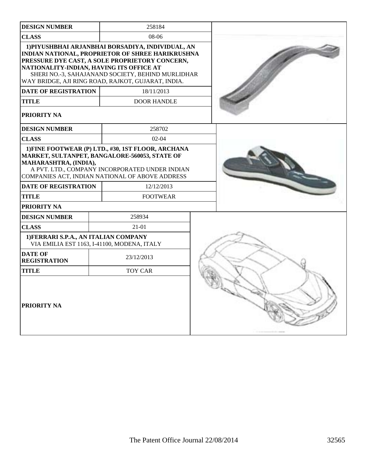| <b>DESIGN NUMBER</b>                                                                                   | 258184                                                                                                                                                                                                                                                                                                 |  |
|--------------------------------------------------------------------------------------------------------|--------------------------------------------------------------------------------------------------------------------------------------------------------------------------------------------------------------------------------------------------------------------------------------------------------|--|
| <b>CLASS</b>                                                                                           | 08-06                                                                                                                                                                                                                                                                                                  |  |
| NATIONALITY-INDIAN, HAVING ITS OFFICE AT<br><b>DATE OF REGISTRATION</b><br><b>TITLE</b><br>PRIORITY NA | 1) PIYUSHBHAI ARJANBHAI BORSADIYA, INDIVIDUAL, AN<br>INDIAN NATIONAL, PROPRIETOR OF SHREE HARIKRUSHNA<br>PRESSURE DYE CAST, A SOLE PROPRIETORY CONCERN,<br>SHERI NO.-3, SAHAJANAND SOCIETY, BEHIND MURLIDHAR<br>WAY BRIDGE, AJI RING ROAD, RAJKOT, GUJARAT, INDIA.<br>18/11/2013<br><b>DOOR HANDLE</b> |  |
| <b>DESIGN NUMBER</b>                                                                                   | 258702                                                                                                                                                                                                                                                                                                 |  |
| <b>CLASS</b>                                                                                           | $02 - 04$                                                                                                                                                                                                                                                                                              |  |
| MAHARASHTRA, (INDIA),                                                                                  | 1) FINE FOOTWEAR (P) LTD., #30, 1ST FLOOR, ARCHANA<br>MARKET, SULTANPET, BANGALORE-560053, STATE OF<br>A PVT. LTD., COMPANY INCORPORATED UNDER INDIAN<br>COMPANIES ACT, INDIAN NATIONAL OF ABOVE ADDRESS                                                                                               |  |
| <b>DATE OF REGISTRATION</b>                                                                            | 12/12/2013                                                                                                                                                                                                                                                                                             |  |
| TITLE                                                                                                  | <b>FOOTWEAR</b>                                                                                                                                                                                                                                                                                        |  |
| PRIORITY NA                                                                                            |                                                                                                                                                                                                                                                                                                        |  |
| <b>DESIGN NUMBER</b>                                                                                   | 258934                                                                                                                                                                                                                                                                                                 |  |
| <b>CLASS</b>                                                                                           | $21 - 01$                                                                                                                                                                                                                                                                                              |  |
| 1) FERRARI S.P.A., AN ITALIAN COMPANY                                                                  | VIA EMILIA EST 1163, I-41100, MODENA, ITALY                                                                                                                                                                                                                                                            |  |
| <b>DATE OF</b><br><b>REGISTRATION</b>                                                                  | 23/12/2013                                                                                                                                                                                                                                                                                             |  |
| <b>TITLE</b>                                                                                           | <b>TOY CAR</b>                                                                                                                                                                                                                                                                                         |  |
| PRIORITY NA                                                                                            |                                                                                                                                                                                                                                                                                                        |  |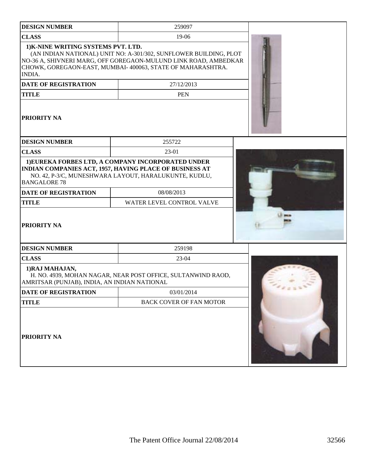| <b>DESIGN NUMBER</b>                                           | 259097                                                                                                                                                                                             |          |  |  |
|----------------------------------------------------------------|----------------------------------------------------------------------------------------------------------------------------------------------------------------------------------------------------|----------|--|--|
| <b>CLASS</b>                                                   | 19-06                                                                                                                                                                                              |          |  |  |
| 1) K-NINE WRITING SYSTEMS PVT. LTD.<br>INDIA.                  | (AN INDIAN NATIONAL) UNIT NO: A-301/302, SUNFLOWER BUILDING, PLOT<br>NO-36 A, SHIVNERI MARG, OFF GOREGAON-MULUND LINK ROAD, AMBEDKAR<br>CHOWK, GOREGAON-EAST, MUMBAI-400063, STATE OF MAHARASHTRA. |          |  |  |
| <b>DATE OF REGISTRATION</b>                                    | 27/12/2013                                                                                                                                                                                         |          |  |  |
| <b>TITLE</b>                                                   | <b>PEN</b>                                                                                                                                                                                         |          |  |  |
| PRIORITY NA                                                    |                                                                                                                                                                                                    |          |  |  |
| <b>DESIGN NUMBER</b>                                           | 255722                                                                                                                                                                                             |          |  |  |
| <b>CLASS</b>                                                   | 23-01                                                                                                                                                                                              |          |  |  |
| <b>BANGALORE 78</b>                                            | 1) EUREKA FORBES LTD, A COMPANY INCORPORATED UNDER<br>INDIAN COMPANIES ACT, 1957, HAVING PLACE OF BUSINESS AT<br>NO. 42, P-3/C, MUNESHWARA LAYOUT, HARALUKUNTE, KUDLU,                             |          |  |  |
| DATE OF REGISTRATION                                           | 08/08/2013                                                                                                                                                                                         |          |  |  |
| <b>TITLE</b>                                                   | WATER LEVEL CONTROL VALVE                                                                                                                                                                          |          |  |  |
| <b>PRIORITY NA</b>                                             |                                                                                                                                                                                                    |          |  |  |
| <b>DESIGN NUMBER</b>                                           | 259198                                                                                                                                                                                             |          |  |  |
| <b>CLASS</b>                                                   | $23-04$                                                                                                                                                                                            |          |  |  |
| 1)RAJ MAHAJAN,<br>AMRITSAR (PUNJAB), INDIA, AN INDIAN NATIONAL | H. NO. 4939, MOHAN NAGAR, NEAR POST OFFICE, SULTANWIND RAOD,                                                                                                                                       |          |  |  |
| <b>DATE OF REGISTRATION</b>                                    | 03/01/2014                                                                                                                                                                                         | $-0.055$ |  |  |
| <b>TITLE</b>                                                   | <b>BACK COVER OF FAN MOTOR</b>                                                                                                                                                                     |          |  |  |
| PRIORITY NA                                                    |                                                                                                                                                                                                    |          |  |  |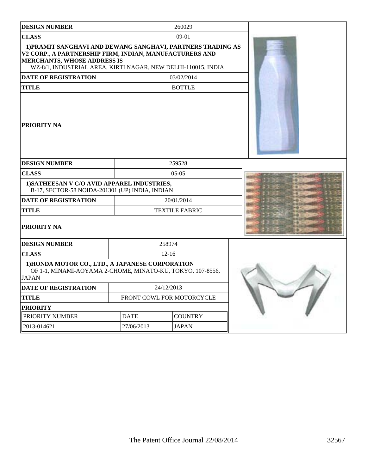| <b>DESIGN NUMBER</b>                                                                                                                                                                                                   |             | 260029                    |  |
|------------------------------------------------------------------------------------------------------------------------------------------------------------------------------------------------------------------------|-------------|---------------------------|--|
| <b>CLASS</b>                                                                                                                                                                                                           |             | 09-01                     |  |
| 1) PRAMIT SANGHAVI AND DEWANG SANGHAVI, PARTNERS TRADING AS<br>V2 CORP., A PARTNERSHIP FIRM, INDIAN, MANUFACTURERS AND<br>MERCHANTS, WHOSE ADDRESS IS<br>WZ-8/1, INDUSTRIAL AREA, KIRTI NAGAR, NEW DELHI-110015, INDIA |             |                           |  |
| <b>DATE OF REGISTRATION</b>                                                                                                                                                                                            |             | 03/02/2014                |  |
| <b>TITLE</b>                                                                                                                                                                                                           |             | <b>BOTTLE</b>             |  |
| PRIORITY NA                                                                                                                                                                                                            |             |                           |  |
| <b>DESIGN NUMBER</b>                                                                                                                                                                                                   |             | 259528                    |  |
| <b>CLASS</b>                                                                                                                                                                                                           |             | $05-05$                   |  |
| 1) SATHEESAN V C/O AVID APPAREL INDUSTRIES,<br>B-17, SECTOR-58 NOIDA-201301 (UP) INDIA, INDIAN                                                                                                                         |             |                           |  |
| <b>DATE OF REGISTRATION</b>                                                                                                                                                                                            |             | 20/01/2014                |  |
| <b>TITLE</b>                                                                                                                                                                                                           |             | <b>TEXTILE FABRIC</b>     |  |
| PRIORITY NA                                                                                                                                                                                                            |             |                           |  |
| <b>DESIGN NUMBER</b>                                                                                                                                                                                                   |             | 258974                    |  |
| <b>CLASS</b>                                                                                                                                                                                                           |             | $12 - 16$                 |  |
| 1) HONDA MOTOR CO., LTD., A JAPANESE CORPORATION<br>OF 1-1, MINAMI-AOYAMA 2-CHOME, MINATO-KU, TOKYO, 107-8556,<br>JAPAN                                                                                                |             |                           |  |
| <b>DATE OF REGISTRATION</b>                                                                                                                                                                                            |             | 24/12/2013                |  |
| <b>TITLE</b>                                                                                                                                                                                                           |             | FRONT COWL FOR MOTORCYCLE |  |
| <b>PRIORITY</b>                                                                                                                                                                                                        |             |                           |  |
| PRIORITY NUMBER                                                                                                                                                                                                        | <b>DATE</b> | <b>COUNTRY</b>            |  |
| 2013-014621                                                                                                                                                                                                            | 27/06/2013  | <b>JAPAN</b>              |  |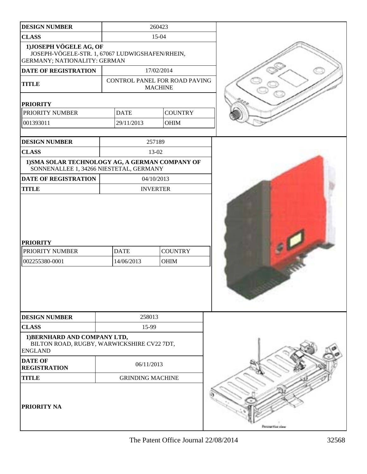| <b>DESIGN NUMBER</b>                                                                                              |                           | 260423                                          |                    |
|-------------------------------------------------------------------------------------------------------------------|---------------------------|-------------------------------------------------|--------------------|
| <b>CLASS</b>                                                                                                      |                           | 15-04                                           |                    |
| 1) JOSEPH VÖGELE AG, OF<br>JOSEPH-VÖGELE-STR. 1, 67067 LUDWIGSHAFEN/RHEIN,<br><b>GERMANY; NATIONALITY: GERMAN</b> |                           |                                                 |                    |
| DATE OF REGISTRATION                                                                                              |                           | 17/02/2014                                      |                    |
| <b>TITLE</b>                                                                                                      |                           | CONTROL PANEL FOR ROAD PAVING<br><b>MACHINE</b> |                    |
| <b>PRIORITY</b>                                                                                                   |                           |                                                 |                    |
| PRIORITY NUMBER                                                                                                   | <b>DATE</b>               | <b>COUNTRY</b>                                  |                    |
| 001393011                                                                                                         | 29/11/2013                | OHIM                                            |                    |
|                                                                                                                   |                           | 257189                                          |                    |
| <b>DESIGN NUMBER</b>                                                                                              |                           |                                                 |                    |
| <b>CLASS</b>                                                                                                      |                           | 13-02                                           |                    |
| 1) SMA SOLAR TECHNOLOGY AG, A GERMAN COMPANY OF<br>SONNENALLEE 1, 34266 NIESTETAL, GERMANY                        |                           |                                                 |                    |
| DATE OF REGISTRATION                                                                                              |                           | 04/10/2013                                      |                    |
| <b>TITLE</b>                                                                                                      |                           | <b>INVERTER</b>                                 |                    |
| <b>PRIORITY</b><br>PRIORITY NUMBER<br>002255380-0001                                                              | <b>DATE</b><br>14/06/2013 | <b>COUNTRY</b><br><b>OHIM</b>                   |                    |
| <b>DESIGN NUMBER</b>                                                                                              | 258013                    |                                                 |                    |
| <b>CLASS</b>                                                                                                      | 15-99                     |                                                 |                    |
| 1) BERNHARD AND COMPANY LTD,<br>BILTON ROAD, RUGBY, WARWICKSHIRE CV22 7DT,<br><b>ENGLAND</b>                      |                           |                                                 |                    |
| <b>DATE OF</b><br><b>REGISTRATION</b>                                                                             | 06/11/2013                |                                                 |                    |
| <b>TITLE</b>                                                                                                      | <b>GRINDING MACHINE</b>   |                                                 |                    |
| PRIORITY NA                                                                                                       |                           |                                                 | Personal Financial |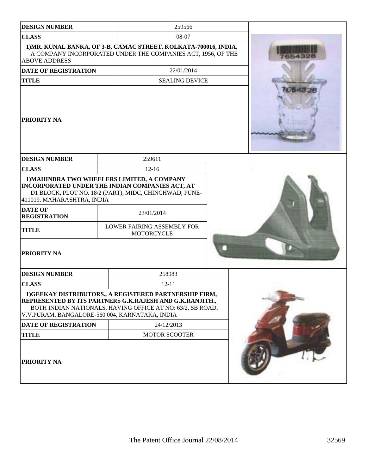| <b>DESIGN NUMBER</b>                                                                               | 259566                                                                                                                                                                                                                    |                 |
|----------------------------------------------------------------------------------------------------|---------------------------------------------------------------------------------------------------------------------------------------------------------------------------------------------------------------------------|-----------------|
| <b>CLASS</b>                                                                                       | 08-07                                                                                                                                                                                                                     |                 |
| <b>ABOVE ADDRESS</b>                                                                               | 1) MR. KUNAL BANKA, OF 3-B, CAMAC STREET, KOLKATA-700016, INDIA,<br>A COMPANY INCORPORATED UNDER THE COMPANIES ACT, 1956, OF THE                                                                                          |                 |
| <b>DATE OF REGISTRATION</b>                                                                        | 22/01/2014                                                                                                                                                                                                                |                 |
| <b>TITLE</b>                                                                                       | <b>SEALING DEVICE</b>                                                                                                                                                                                                     |                 |
| <b>PRIORITY NA</b>                                                                                 |                                                                                                                                                                                                                           | <b>A DISTRI</b> |
| <b>DESIGN NUMBER</b>                                                                               | 259611                                                                                                                                                                                                                    |                 |
| <b>CLASS</b>                                                                                       | $12 - 16$                                                                                                                                                                                                                 |                 |
| 411019, MAHARASHTRA, INDIA<br><b>DATE OF</b><br><b>REGISTRATION</b><br><b>TITLE</b><br>PRIORITY NA | 1) MAHINDRA TWO WHEELERS LIMITED, A COMPANY<br>INCORPORATED UNDER THE INDIAN COMPANIES ACT, AT<br>D1 BLOCK, PLOT NO. 18/2 (PART), MIDC, CHINCHWAD, PUNE-<br>23/01/2014<br>LOWER FAIRING ASSEMBLY FOR<br><b>MOTORCYCLE</b> |                 |
| <b>DESIGN NUMBER</b>                                                                               | 258983                                                                                                                                                                                                                    |                 |
| <b>CLASS</b>                                                                                       | $12 - 11$                                                                                                                                                                                                                 |                 |
| V.V.PURAM, BANGALORE-560 004, KARNATAKA, INDIA                                                     | 1) GEEKAY DISTRIBUTORS., A REGISTERED PARTNERSHIP FIRM,<br>REPRESENTED BY ITS PARTNERS G.K.RAJESH AND G.K.RANJITH.,<br>BOTH INDIAN NATIONALS, HAVING OFFICE AT NO: 63/2, SB ROAD,                                         |                 |
| <b>DATE OF REGISTRATION</b>                                                                        | 24/12/2013                                                                                                                                                                                                                |                 |
| <b>TITLE</b>                                                                                       | <b>MOTOR SCOOTER</b>                                                                                                                                                                                                      |                 |
| <b>PRIORITY NA</b>                                                                                 |                                                                                                                                                                                                                           |                 |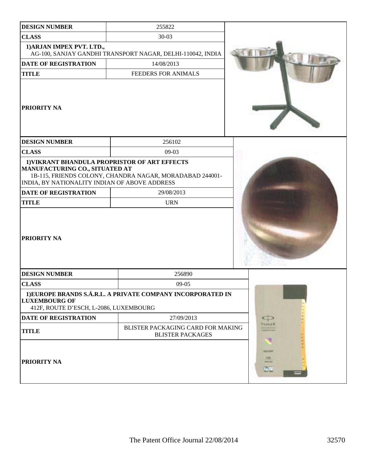| <b>DESIGN NUMBER</b>                                                                                                             | 255822                                                       |                                  |
|----------------------------------------------------------------------------------------------------------------------------------|--------------------------------------------------------------|----------------------------------|
| <b>CLASS</b>                                                                                                                     | $30 - 03$                                                    |                                  |
| 1) ARJAN IMPEX PVT. LTD.,                                                                                                        | AG-100, SANJAY GANDHI TRANSPORT NAGAR, DELHI-110042, INDIA   |                                  |
| <b>DATE OF REGISTRATION</b>                                                                                                      | 14/08/2013                                                   |                                  |
| <b>TITLE</b>                                                                                                                     | FEEDERS FOR ANIMALS                                          |                                  |
| <b>PRIORITY NA</b>                                                                                                               |                                                              |                                  |
| <b>DESIGN NUMBER</b>                                                                                                             | 256102                                                       |                                  |
| <b>CLASS</b>                                                                                                                     | $09-03$                                                      |                                  |
| 1) VIKRANT BHANDULA PROPRISTOR OF ART EFFECTS<br>MANUFACTURING CO., SITUATED AT<br>INDIA, BY NATIONALITY INDIAN OF ABOVE ADDRESS | 1B-115, FRIENDS COLONY, CHANDRA NAGAR, MORADABAD 244001-     |                                  |
| <b>DATE OF REGISTRATION</b>                                                                                                      | 29/08/2013                                                   |                                  |
| <b>TITLE</b>                                                                                                                     | <b>URN</b>                                                   |                                  |
| <b>PRIORITY NA</b>                                                                                                               |                                                              |                                  |
| <b>DESIGN NUMBER</b>                                                                                                             | 256890                                                       |                                  |
| <b>CLASS</b>                                                                                                                     | $09-05$                                                      |                                  |
| <b>LUXEMBOURG OF</b><br>412F, ROUTE D'ESCH, L-2086, LUXEMBOURG                                                                   | 1) EUROPE BRANDS S.Á.R.L. A PRIVATE COMPANY INCORPORATED IN  |                                  |
| DATE OF REGISTRATION                                                                                                             | 27/09/2013                                                   |                                  |
| <b>TITLE</b>                                                                                                                     | BLISTER PACKAGING CARD FOR MAKING<br><b>BLISTER PACKAGES</b> | <b>MARKER</b><br><b>CREATION</b> |
| <b>PRIORITY NA</b>                                                                                                               |                                                              | KAIAWY<br>FM.<br>ment met<br>病業  |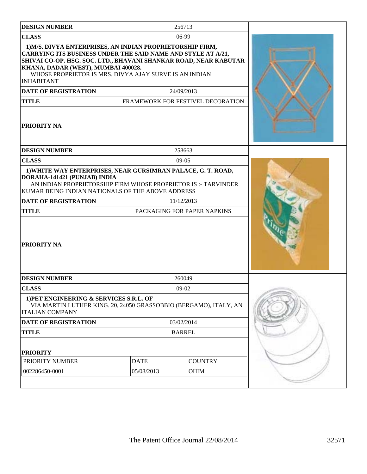| <b>DESIGN NUMBER</b>                                                                                                                                                                                                                                                                                                |                                           | 256713                            |  |
|---------------------------------------------------------------------------------------------------------------------------------------------------------------------------------------------------------------------------------------------------------------------------------------------------------------------|-------------------------------------------|-----------------------------------|--|
| <b>CLASS</b>                                                                                                                                                                                                                                                                                                        |                                           | 06-99                             |  |
| 1) M/S. DIVYA ENTERPRISES, AN INDIAN PROPRIETORSHIP FIRM,<br>CARRYING ITS BUSINESS UNDER THE SAID NAME AND STYLE AT A/21,<br>SHIVAI CO-OP. HSG. SOC. LTD., BHAVANI SHANKAR ROAD, NEAR KABUTAR<br>KHANA, DADAR (WEST), MUMBAI 400028.<br>WHOSE PROPRIETOR IS MRS. DIVYA AJAY SURVE IS AN INDIAN<br><b>INHABITANT</b> |                                           |                                   |  |
| <b>DATE OF REGISTRATION</b>                                                                                                                                                                                                                                                                                         |                                           | 24/09/2013                        |  |
| <b>TITLE</b>                                                                                                                                                                                                                                                                                                        |                                           | FRAMEWORK FOR FESTIVEL DECORATION |  |
| <b>PRIORITY NA</b>                                                                                                                                                                                                                                                                                                  |                                           |                                   |  |
| <b>DESIGN NUMBER</b>                                                                                                                                                                                                                                                                                                |                                           | 258663                            |  |
| <b>CLASS</b>                                                                                                                                                                                                                                                                                                        |                                           | $09-05$                           |  |
| 1) WHITE WAY ENTERPRISES, NEAR GURSIMRAN PALACE, G. T. ROAD,<br>DORAHA-141421 (PUNJAB) INDIA<br>AN INDIAN PROPRIETORSHIP FIRM WHOSE PROPRIETOR IS:- TARVINDER<br>KUMAR BEING INDIAN NATIONALS OF THE ABOVE ADDRESS<br><b>DATE OF REGISTRATION</b><br><b>TITLE</b><br><b>PRIORITY NA</b>                             | 11/12/2013<br>PACKAGING FOR PAPER NAPKINS |                                   |  |
|                                                                                                                                                                                                                                                                                                                     |                                           |                                   |  |
| <b>DESIGN NUMBER</b>                                                                                                                                                                                                                                                                                                |                                           | 260049<br>$09-02$                 |  |
| <b>CLASS</b><br>1) PET ENGINEERING & SERVICES S.R.L. OF<br>VIA MARTIN LUTHER KING. 20, 24050 GRASSOBBIO (BERGAMO), ITALY, AN<br><b>ITALIAN COMPANY</b>                                                                                                                                                              |                                           |                                   |  |
| <b>DATE OF REGISTRATION</b>                                                                                                                                                                                                                                                                                         |                                           | 03/02/2014                        |  |
| <b>TITLE</b>                                                                                                                                                                                                                                                                                                        |                                           | <b>BARREL</b>                     |  |
| <b>PRIORITY</b>                                                                                                                                                                                                                                                                                                     |                                           |                                   |  |
| PRIORITY NUMBER                                                                                                                                                                                                                                                                                                     | <b>DATE</b>                               | <b>COUNTRY</b>                    |  |
| 002286450-0001                                                                                                                                                                                                                                                                                                      | 05/08/2013                                | <b>OHIM</b>                       |  |
|                                                                                                                                                                                                                                                                                                                     |                                           |                                   |  |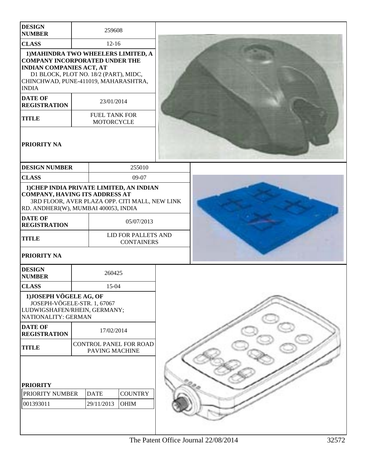| <b>DESIGN</b><br><b>NUMBER</b>                                                                                                                                                                                                     | 259608                             |                                          |  |  |  |
|------------------------------------------------------------------------------------------------------------------------------------------------------------------------------------------------------------------------------------|------------------------------------|------------------------------------------|--|--|--|
| <b>CLASS</b>                                                                                                                                                                                                                       | $12 - 16$                          |                                          |  |  |  |
| 1) MAHINDRA TWO WHEELERS LIMITED, A<br><b>COMPANY INCORPORATED UNDER THE</b><br><b>INDIAN COMPANIES ACT, AT</b><br>D1 BLOCK, PLOT NO. 18/2 (PART), MIDC,<br>CHINCHWAD, PUNE-411019, MAHARASHTRA,<br><b>INDIA</b><br><b>DATE OF</b> |                                    |                                          |  |  |  |
| <b>REGISTRATION</b>                                                                                                                                                                                                                | 23/01/2014                         |                                          |  |  |  |
| <b>TITLE</b>                                                                                                                                                                                                                       | <b>FUEL TANK FOR</b><br>MOTORCYCLE |                                          |  |  |  |
| <b>PRIORITY NA</b>                                                                                                                                                                                                                 |                                    |                                          |  |  |  |
| <b>DESIGN NUMBER</b>                                                                                                                                                                                                               |                                    | 255010                                   |  |  |  |
| <b>CLASS</b>                                                                                                                                                                                                                       |                                    | 09-07                                    |  |  |  |
| 1) CHEP INDIA PRIVATE LIMITED, AN INDIAN<br><b>COMPANY, HAVING ITS ADDRESS AT</b><br>3RD FLOOR, AVER PLAZA OPP. CITI MALL, NEW LINK<br>RD. ANDHERI(W), MUMBAI 400053, INDIA                                                        |                                    |                                          |  |  |  |
| <b>DATE OF</b><br><b>REGISTRATION</b>                                                                                                                                                                                              |                                    | 05/07/2013                               |  |  |  |
| <b>TITLE</b>                                                                                                                                                                                                                       |                                    | LID FOR PALLETS AND<br><b>CONTAINERS</b> |  |  |  |
| PRIORITY NA                                                                                                                                                                                                                        |                                    |                                          |  |  |  |
| <b>DESIGN</b><br><b>NUMBER</b>                                                                                                                                                                                                     | 260425                             |                                          |  |  |  |
| <b>CLASS</b>                                                                                                                                                                                                                       | 15-04                              |                                          |  |  |  |
| 1) JOSEPH VÖGELE AG, OF<br>JOSEPH-VÖGELE-STR. 1, 67067<br>LUDWIGSHAFEN/RHEIN, GERMANY;<br>NATIONALITY: GERMAN                                                                                                                      |                                    |                                          |  |  |  |
| <b>DATE OF</b><br><b>REGISTRATION</b>                                                                                                                                                                                              | 17/02/2014                         |                                          |  |  |  |
| <b>TITLE</b>                                                                                                                                                                                                                       | PAVING MACHINE                     | CONTROL PANEL FOR ROAD                   |  |  |  |
| <b>PRIORITY</b><br>PRIORITY NUMBER<br>001393011                                                                                                                                                                                    | <b>DATE</b><br>29/11/2013          | <b>COUNTRY</b><br><b>OHIM</b>            |  |  |  |
|                                                                                                                                                                                                                                    |                                    |                                          |  |  |  |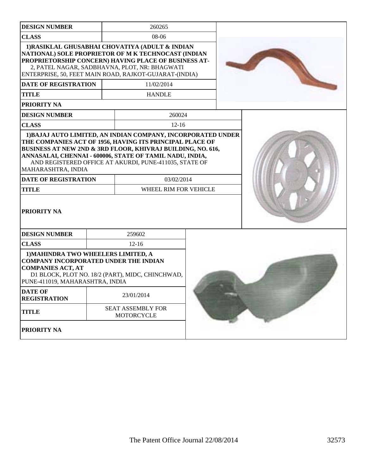| <b>DESIGN NUMBER</b>                                                                                                                                                                                                                                                                                                                                                                                                      |                                                                                                                                                                                                                                                                                         | 260265                                        |  |  |  |  |
|---------------------------------------------------------------------------------------------------------------------------------------------------------------------------------------------------------------------------------------------------------------------------------------------------------------------------------------------------------------------------------------------------------------------------|-----------------------------------------------------------------------------------------------------------------------------------------------------------------------------------------------------------------------------------------------------------------------------------------|-----------------------------------------------|--|--|--|--|
| <b>CLASS</b>                                                                                                                                                                                                                                                                                                                                                                                                              |                                                                                                                                                                                                                                                                                         | $08-06$                                       |  |  |  |  |
| <b>DATE OF REGISTRATION</b>                                                                                                                                                                                                                                                                                                                                                                                               | 1) RASIKLAL GHUSABHAI CHOVATIYA (ADULT & INDIAN<br>NATIONAL) SOLE PROPRIETOR OF M K TECHNOCAST (INDIAN<br>PROPRIETORSHIP CONCERN) HAVING PLACE OF BUSINESS AT-<br>2, PATEL NAGAR, SADBHAVNA, PLOT, NR: BHAGWATI<br>ENTERPRISE, 50, FEET MAIN ROAD, RAJKOT-GUJARAT-(INDIA)<br>11/02/2014 |                                               |  |  |  |  |
| <b>TITLE</b>                                                                                                                                                                                                                                                                                                                                                                                                              |                                                                                                                                                                                                                                                                                         | <b>HANDLE</b>                                 |  |  |  |  |
| PRIORITY NA                                                                                                                                                                                                                                                                                                                                                                                                               |                                                                                                                                                                                                                                                                                         |                                               |  |  |  |  |
| <b>DESIGN NUMBER</b>                                                                                                                                                                                                                                                                                                                                                                                                      |                                                                                                                                                                                                                                                                                         | 260024                                        |  |  |  |  |
| <b>CLASS</b>                                                                                                                                                                                                                                                                                                                                                                                                              |                                                                                                                                                                                                                                                                                         | $12 - 16$                                     |  |  |  |  |
| 1) BAJAJ AUTO LIMITED, AN INDIAN COMPANY, INCORPORATED UNDER<br>THE COMPANIES ACT OF 1956, HAVING ITS PRINCIPAL PLACE OF<br>BUSINESS AT NEW 2ND & 3RD FLOOR, KHIVRAJ BUILDING, NO. 616,<br>ANNASALAI, CHENNAI - 600006, STATE OF TAMIL NADU, INDIA,<br>AND REGISTERED OFFICE AT AKURDI, PUNE-411035, STATE OF<br>MAHARASHTRA, INDIA<br><b>DATE OF REGISTRATION</b><br>03/02/2014<br><b>TITLE</b><br>WHEEL RIM FOR VEHICLE |                                                                                                                                                                                                                                                                                         |                                               |  |  |  |  |
| <b>PRIORITY NA</b>                                                                                                                                                                                                                                                                                                                                                                                                        |                                                                                                                                                                                                                                                                                         |                                               |  |  |  |  |
| <b>DESIGN NUMBER</b>                                                                                                                                                                                                                                                                                                                                                                                                      |                                                                                                                                                                                                                                                                                         | 259602                                        |  |  |  |  |
| <b>CLASS</b>                                                                                                                                                                                                                                                                                                                                                                                                              |                                                                                                                                                                                                                                                                                         | $12 - 16$                                     |  |  |  |  |
| 1) MAHINDRA TWO WHEELERS LIMITED, A<br><b>COMPANY INCORPORATED UNDER THE INDIAN</b><br><b>COMPANIES ACT, AT</b><br>D1 BLOCK, PLOT NO. 18/2 (PART), MIDC, CHINCHWAD,<br>PUNE-411019, MAHARASHTRA, INDIA                                                                                                                                                                                                                    |                                                                                                                                                                                                                                                                                         |                                               |  |  |  |  |
| <b>DATE OF</b><br><b>REGISTRATION</b>                                                                                                                                                                                                                                                                                                                                                                                     |                                                                                                                                                                                                                                                                                         | 23/01/2014                                    |  |  |  |  |
| <b>TITLE</b>                                                                                                                                                                                                                                                                                                                                                                                                              |                                                                                                                                                                                                                                                                                         | <b>SEAT ASSEMBLY FOR</b><br><b>MOTORCYCLE</b> |  |  |  |  |
| PRIORITY NA                                                                                                                                                                                                                                                                                                                                                                                                               |                                                                                                                                                                                                                                                                                         |                                               |  |  |  |  |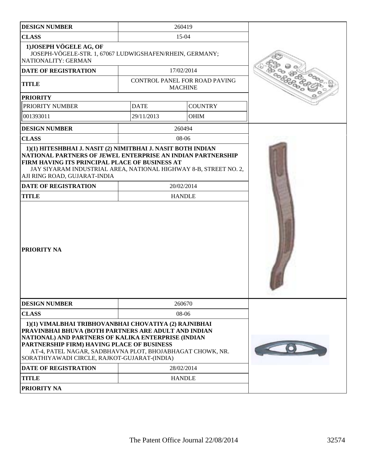| <b>DESIGN NUMBER</b>                                                                                                                                                                                                                                                                                                            | 260419                                          |                |  |
|---------------------------------------------------------------------------------------------------------------------------------------------------------------------------------------------------------------------------------------------------------------------------------------------------------------------------------|-------------------------------------------------|----------------|--|
| <b>CLASS</b>                                                                                                                                                                                                                                                                                                                    | $15-04$                                         |                |  |
| 1) JOSEPH VÖGELE AG, OF<br>JOSEPH-VÖGELE-STR. 1, 67067 LUDWIGSHAFEN/RHEIN, GERMANY;<br>NATIONALITY: GERMAN                                                                                                                                                                                                                      |                                                 |                |  |
| DATE OF REGISTRATION                                                                                                                                                                                                                                                                                                            | 17/02/2014                                      |                |  |
| <b>TITLE</b>                                                                                                                                                                                                                                                                                                                    | CONTROL PANEL FOR ROAD PAVING<br><b>MACHINE</b> |                |  |
| <b>PRIORITY</b>                                                                                                                                                                                                                                                                                                                 |                                                 |                |  |
| PRIORITY NUMBER                                                                                                                                                                                                                                                                                                                 | <b>DATE</b>                                     | <b>COUNTRY</b> |  |
| 001393011                                                                                                                                                                                                                                                                                                                       | 29/11/2013                                      | <b>OHIM</b>    |  |
| <b>DESIGN NUMBER</b>                                                                                                                                                                                                                                                                                                            | 260494                                          |                |  |
| <b>CLASS</b>                                                                                                                                                                                                                                                                                                                    | 08-06                                           |                |  |
| NATIONAL PARTNERS OF JEWEL ENTERPRISE AN INDIAN PARTNERSHIP<br>FIRM HAVING ITS PRINCIPAL PLACE OF BUSINESS AT<br>JAY SIYARAM INDUSTRIAL AREA, NATIONAL HIGHWAY 8-B, STREET NO. 2,<br>AJI RING ROAD, GUJARAT-INDIA<br><b>DATE OF REGISTRATION</b><br><b>TITLE</b>                                                                | 20/02/2014<br><b>HANDLE</b>                     |                |  |
| <b>PRIORITY NA</b>                                                                                                                                                                                                                                                                                                              |                                                 |                |  |
| <b>DESIGN NUMBER</b>                                                                                                                                                                                                                                                                                                            | 260670                                          |                |  |
| <b>CLASS</b>                                                                                                                                                                                                                                                                                                                    | 08-06                                           |                |  |
| 1)(1) VIMALBHAI TRIBHOVANBHAI CHOVATIYA (2) RAJNIBHAI<br>PRAVINBHAI BHUVA (BOTH PARTNERS ARE ADULT AND INDIAN<br>NATIONAL) AND PARTNERS OF KALIKA ENTERPRISE (INDIAN<br>PARTNERSHIP FIRM) HAVING PLACE OF BUSINESS<br>AT-4, PATEL NAGAR, SADBHAVNA PLOT, BHOJABHAGAT CHOWK, NR.<br>SORATHIYAWADI CIRCLE, RAJKOT-GUJARAT-(INDIA) |                                                 |                |  |
| <b>DATE OF REGISTRATION</b>                                                                                                                                                                                                                                                                                                     | 28/02/2014                                      |                |  |
| <b>TITLE</b>                                                                                                                                                                                                                                                                                                                    | <b>HANDLE</b>                                   |                |  |
| <b>PRIORITY NA</b>                                                                                                                                                                                                                                                                                                              |                                                 |                |  |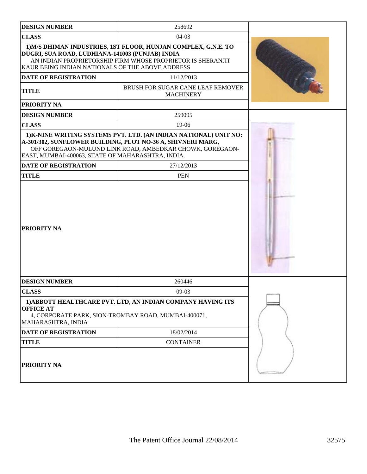| <b>DESIGN NUMBER</b>                                                                                                                                                                                                                 | 258692                                                                                                                                                                                       |  |  |  |  |
|--------------------------------------------------------------------------------------------------------------------------------------------------------------------------------------------------------------------------------------|----------------------------------------------------------------------------------------------------------------------------------------------------------------------------------------------|--|--|--|--|
| <b>CLASS</b>                                                                                                                                                                                                                         | $04-03$                                                                                                                                                                                      |  |  |  |  |
| 1) M/S DHIMAN INDUSTRIES, 1ST FLOOR, HUNJAN COMPLEX, G.N.E. TO<br>DUGRI, SUA ROAD, LUDHIANA-141003 (PUNJAB) INDIA<br>AN INDIAN PROPRIETORSHIP FIRM WHOSE PROPRIETOR IS SHERANJIT<br>KAUR BEING INDIAN NATIONALS OF THE ABOVE ADDRESS |                                                                                                                                                                                              |  |  |  |  |
| DATE OF REGISTRATION                                                                                                                                                                                                                 | 11/12/2013                                                                                                                                                                                   |  |  |  |  |
| <b>TITLE</b>                                                                                                                                                                                                                         | BRUSH FOR SUGAR CANE LEAF REMOVER<br><b>MACHINERY</b>                                                                                                                                        |  |  |  |  |
| <b>PRIORITY NA</b>                                                                                                                                                                                                                   |                                                                                                                                                                                              |  |  |  |  |
| <b>DESIGN NUMBER</b>                                                                                                                                                                                                                 | 259095                                                                                                                                                                                       |  |  |  |  |
| <b>CLASS</b>                                                                                                                                                                                                                         | 19-06                                                                                                                                                                                        |  |  |  |  |
| EAST, MUMBAI-400063, STATE OF MAHARASHTRA, INDIA.                                                                                                                                                                                    | 1) K-NINE WRITING SYSTEMS PVT. LTD. (AN INDIAN NATIONAL) UNIT NO:<br>A-301/302, SUNFLOWER BUILDING, PLOT NO-36 A, SHIVNERI MARG,<br>OFF GOREGAON-MULUND LINK ROAD, AMBEDKAR CHOWK, GOREGAON- |  |  |  |  |
| <b>DATE OF REGISTRATION</b>                                                                                                                                                                                                          | 27/12/2013                                                                                                                                                                                   |  |  |  |  |
| <b>TITLE</b>                                                                                                                                                                                                                         | <b>PEN</b>                                                                                                                                                                                   |  |  |  |  |
| <b>PRIORITY NA</b>                                                                                                                                                                                                                   |                                                                                                                                                                                              |  |  |  |  |
| <b>DESIGN NUMBER</b>                                                                                                                                                                                                                 | 260446                                                                                                                                                                                       |  |  |  |  |
| <b>CLASS</b>                                                                                                                                                                                                                         | $09-03$                                                                                                                                                                                      |  |  |  |  |
| 1) ABBOTT HEALTHCARE PVT. LTD, AN INDIAN COMPANY HAVING ITS<br><b>OFFICE AT</b><br>4, CORPORATE PARK, SION-TROMBAY ROAD, MUMBAI-400071,<br>MAHARASHTRA, INDIA                                                                        |                                                                                                                                                                                              |  |  |  |  |
| DATE OF REGISTRATION                                                                                                                                                                                                                 | 18/02/2014                                                                                                                                                                                   |  |  |  |  |
| <b>TITLE</b>                                                                                                                                                                                                                         | <b>CONTAINER</b>                                                                                                                                                                             |  |  |  |  |
| <b>PRIORITY NA</b>                                                                                                                                                                                                                   |                                                                                                                                                                                              |  |  |  |  |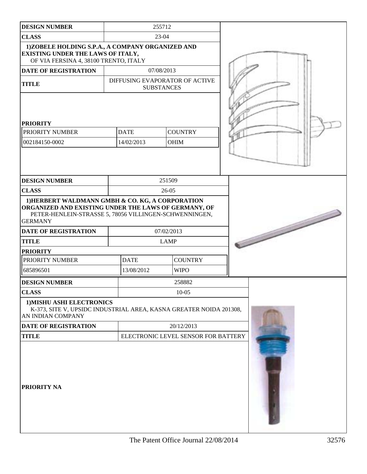| <b>DESIGN NUMBER</b>                                                                                                                                                                 |            | 255712                              |                   |                |  |  |
|--------------------------------------------------------------------------------------------------------------------------------------------------------------------------------------|------------|-------------------------------------|-------------------|----------------|--|--|
| <b>CLASS</b>                                                                                                                                                                         | 23-04      |                                     |                   |                |  |  |
| 1)ZOBELE HOLDING S.P.A., A COMPANY ORGANIZED AND<br><b>EXISTING UNDER THE LAWS OF ITALY,</b><br>OF VIA FERSINA 4, 38100 TRENTO, ITALY                                                |            |                                     |                   |                |  |  |
| <b>DATE OF REGISTRATION</b>                                                                                                                                                          |            | 07/08/2013                          |                   |                |  |  |
| <b>TITLE</b>                                                                                                                                                                         |            | DIFFUSING EVAPORATOR OF ACTIVE      | <b>SUBSTANCES</b> |                |  |  |
| <b>PRIORITY</b><br>PRIORITY NUMBER<br>002184150-0002                                                                                                                                 |            | <b>DATE</b><br>14/02/2013           | <b>OHIM</b>       | <b>COUNTRY</b> |  |  |
| <b>DESIGN NUMBER</b>                                                                                                                                                                 |            |                                     | 251509            |                |  |  |
| <b>CLASS</b>                                                                                                                                                                         |            |                                     | $26-05$           |                |  |  |
| 1) HERBERT WALDMANN GMBH & CO. KG, A CORPORATION<br>ORGANIZED AND EXISTING UNDER THE LAWS OF GERMANY, OF<br>PETER-HENLEIN-STRASSE 5, 78056 VILLINGEN-SCHWENNINGEN,<br><b>GERMANY</b> |            |                                     |                   |                |  |  |
| <b>DATE OF REGISTRATION</b>                                                                                                                                                          |            | 07/02/2013                          |                   |                |  |  |
| <b>TITLE</b>                                                                                                                                                                         |            | <b>LAMP</b>                         |                   |                |  |  |
| <b>PRIORITY</b>                                                                                                                                                                      |            |                                     |                   |                |  |  |
| PRIORITY NUMBER                                                                                                                                                                      |            | <b>DATE</b>                         |                   | <b>COUNTRY</b> |  |  |
| 685896501                                                                                                                                                                            |            | 13/08/2012                          |                   | <b>WIPO</b>    |  |  |
| <b>DESIGN NUMBER</b>                                                                                                                                                                 |            |                                     |                   | 258882         |  |  |
| <b>CLASS</b>                                                                                                                                                                         |            |                                     |                   | $10 - 05$      |  |  |
| 1) MISHU ASHI ELECTRONICS<br>K-373, SITE V, UPSIDC INDUSTRIAL AREA, KASNA GREATER NOIDA 201308,<br>AN INDIAN COMPANY                                                                 |            |                                     |                   |                |  |  |
| DATE OF REGISTRATION                                                                                                                                                                 | 20/12/2013 |                                     |                   |                |  |  |
| <b>TITLE</b>                                                                                                                                                                         |            | ELECTRONIC LEVEL SENSOR FOR BATTERY |                   |                |  |  |
| PRIORITY NA                                                                                                                                                                          |            |                                     |                   |                |  |  |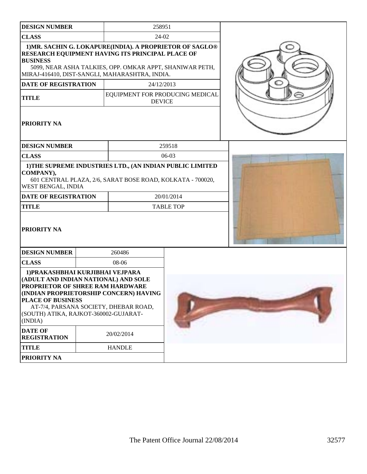| <b>DESIGN NUMBER</b>                                                                                                                                                                         | 258951                                                                                                                                                                                                                     |                  |  |  |
|----------------------------------------------------------------------------------------------------------------------------------------------------------------------------------------------|----------------------------------------------------------------------------------------------------------------------------------------------------------------------------------------------------------------------------|------------------|--|--|
| <b>CLASS</b>                                                                                                                                                                                 | 24-02                                                                                                                                                                                                                      |                  |  |  |
| <b>BUSINESS</b>                                                                                                                                                                              | 1) MR. SACHIN G. LOKAPURE(INDIA). A PROPRIETOR OF SAGLO®<br>RESEARCH EQUIPMENT HAVING ITS PRINCIPAL PLACE OF<br>5099, NEAR ASHA TALKIES, OPP. OMKAR APPT, SHANIWAR PETH,<br>MIRAJ-416410, DIST-SANGLI, MAHARASHTRA, INDIA. |                  |  |  |
| <b>DATE OF REGISTRATION</b>                                                                                                                                                                  | 24/12/2013                                                                                                                                                                                                                 |                  |  |  |
| <b>TITLE</b>                                                                                                                                                                                 | EQUIPMENT FOR PRODUCING MEDICAL<br><b>DEVICE</b>                                                                                                                                                                           |                  |  |  |
| PRIORITY NA                                                                                                                                                                                  |                                                                                                                                                                                                                            |                  |  |  |
| <b>DESIGN NUMBER</b>                                                                                                                                                                         |                                                                                                                                                                                                                            | 259518           |  |  |
| <b>CLASS</b>                                                                                                                                                                                 |                                                                                                                                                                                                                            | $06-03$          |  |  |
| COMPANY),<br>WEST BENGAL, INDIA                                                                                                                                                              | 1) THE SUPREME INDUSTRIES LTD., (AN INDIAN PUBLIC LIMITED<br>601 CENTRAL PLAZA, 2/6, SARAT BOSE ROAD, KOLKATA - 700020,                                                                                                    |                  |  |  |
| <b>DATE OF REGISTRATION</b>                                                                                                                                                                  |                                                                                                                                                                                                                            | 20/01/2014       |  |  |
| <b>TITLE</b><br>PRIORITY NA                                                                                                                                                                  |                                                                                                                                                                                                                            | <b>TABLE TOP</b> |  |  |
| <b>DESIGN NUMBER</b>                                                                                                                                                                         | 260486                                                                                                                                                                                                                     |                  |  |  |
| <b>CLASS</b>                                                                                                                                                                                 | 08-06                                                                                                                                                                                                                      |                  |  |  |
| 1) PRAKASHBHAI KURJIBHAI VEJPARA<br>(ADULT AND INDIAN NATIONAL) AND SOLE<br>PROPRIETOR OF SHREE RAM HARDWARE<br><b>PLACE OF BUSINESS</b><br>(SOUTH) ATIKA, RAJKOT-360002-GUJARAT-<br>(INDIA) | (INDIAN PROPRIETORSHIP CONCERN) HAVING<br>AT-7/4, PARSANA SOCIETY, DHEBAR ROAD,                                                                                                                                            |                  |  |  |
| <b>DATE OF</b><br><b>REGISTRATION</b>                                                                                                                                                        | 20/02/2014                                                                                                                                                                                                                 |                  |  |  |
| <b>TITLE</b>                                                                                                                                                                                 | <b>HANDLE</b>                                                                                                                                                                                                              |                  |  |  |
| PRIORITY NA                                                                                                                                                                                  |                                                                                                                                                                                                                            |                  |  |  |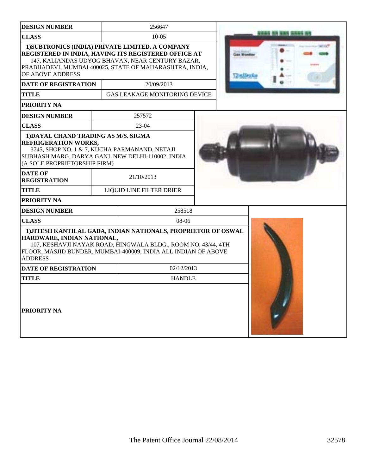| <b>DESIGN NUMBER</b>                                                                                                                                                                                      |               | 256647                                                                                                                                                                                                                  |  |                        |  |  |
|-----------------------------------------------------------------------------------------------------------------------------------------------------------------------------------------------------------|---------------|-------------------------------------------------------------------------------------------------------------------------------------------------------------------------------------------------------------------------|--|------------------------|--|--|
| <b>CLASS</b>                                                                                                                                                                                              |               | $10-05$                                                                                                                                                                                                                 |  | <b>B KINS INSIGN I</b> |  |  |
| OF ABOVE ADDRESS                                                                                                                                                                                          |               | 1) SUBTRONICS (INDIA) PRIVATE LIMITED, A COMPANY<br>REGISTERED IN INDIA, HAVING ITS REGISTERED OFFICE AT<br>147, KALIANDAS UDYOG BHAVAN, NEAR CENTURY BAZAR,<br>PRABHADEVI, MUMBAI 400025, STATE OF MAHARASHTRA, INDIA, |  |                        |  |  |
| DATE OF REGISTRATION                                                                                                                                                                                      |               | 20/09/2013                                                                                                                                                                                                              |  |                        |  |  |
| <b>TITLE</b>                                                                                                                                                                                              |               | <b>GAS LEAKAGE MONITORING DEVICE</b>                                                                                                                                                                                    |  |                        |  |  |
| PRIORITY NA                                                                                                                                                                                               |               |                                                                                                                                                                                                                         |  |                        |  |  |
| <b>DESIGN NUMBER</b>                                                                                                                                                                                      |               | 257572                                                                                                                                                                                                                  |  |                        |  |  |
| <b>CLASS</b>                                                                                                                                                                                              |               | 23-04                                                                                                                                                                                                                   |  |                        |  |  |
| 1) DAYAL CHAND TRADING AS M/S. SIGMA<br><b>REFRIGERATION WORKS,</b><br>3745, SHOP NO. 1 & 7, KUCHA PARMANAND, NETAJI<br>SUBHASH MARG, DARYA GANJ, NEW DELHI-110002, INDIA<br>(A SOLE PROPRIETORSHIP FIRM) |               |                                                                                                                                                                                                                         |  |                        |  |  |
| <b>DATE OF</b><br><b>REGISTRATION</b>                                                                                                                                                                     |               | 21/10/2013                                                                                                                                                                                                              |  |                        |  |  |
| <b>TITLE</b>                                                                                                                                                                                              |               | LIQUID LINE FILTER DRIER                                                                                                                                                                                                |  |                        |  |  |
| PRIORITY NA                                                                                                                                                                                               |               |                                                                                                                                                                                                                         |  |                        |  |  |
| <b>DESIGN NUMBER</b>                                                                                                                                                                                      |               | 258518                                                                                                                                                                                                                  |  |                        |  |  |
| <b>CLASS</b>                                                                                                                                                                                              |               | 08-06                                                                                                                                                                                                                   |  |                        |  |  |
| HARDWARE, INDIAN NATIONAL,<br><b>ADDRESS</b>                                                                                                                                                              |               | 1) JITESH KANTILAL GADA, INDIAN NATIONALS, PROPRIETOR OF OSWAL<br>107, KESHAVJI NAYAK ROAD, HINGWALA BLDG., ROOM NO. 43/44, 4TH<br>FLOOR, MASJID BUNDER, MUMBAI-400009, INDIA ALL INDIAN OF ABOVE                       |  |                        |  |  |
| DATE OF REGISTRATION                                                                                                                                                                                      |               | 02/12/2013                                                                                                                                                                                                              |  |                        |  |  |
| <b>TITLE</b>                                                                                                                                                                                              | <b>HANDLE</b> |                                                                                                                                                                                                                         |  |                        |  |  |
| <b>PRIORITY NA</b>                                                                                                                                                                                        |               |                                                                                                                                                                                                                         |  |                        |  |  |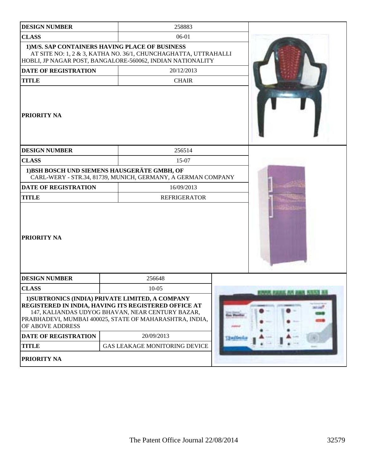| <b>DESIGN NUMBER</b>        | 258883                                                                                                                                                                                                                  |                                   |
|-----------------------------|-------------------------------------------------------------------------------------------------------------------------------------------------------------------------------------------------------------------------|-----------------------------------|
| <b>CLASS</b>                | 06-01                                                                                                                                                                                                                   |                                   |
|                             | 1) M/S. SAP CONTAINERS HAVING PLACE OF BUSINESS<br>AT SITE NO: 1, 2 & 3, KATHA NO. 36/1, CHUNCHAGHATTA, UTTRAHALLI<br>HOBLI, JP NAGAR POST, BANGALORE-560062, INDIAN NATIONALITY                                        |                                   |
| <b>DATE OF REGISTRATION</b> | 20/12/2013                                                                                                                                                                                                              |                                   |
| <b>TITLE</b>                | <b>CHAIR</b>                                                                                                                                                                                                            |                                   |
| <b>PRIORITY NA</b>          |                                                                                                                                                                                                                         |                                   |
| <b>DESIGN NUMBER</b>        | 256514                                                                                                                                                                                                                  |                                   |
| <b>CLASS</b>                | 15-07                                                                                                                                                                                                                   |                                   |
|                             | 1) BSH BOSCH UND SIEMENS HAUSGERÄTE GMBH, OF<br>CARL-WERY - STR.34, 81739, MUNICH, GERMANY, A GERMAN COMPANY                                                                                                            |                                   |
| <b>DATE OF REGISTRATION</b> | 16/09/2013                                                                                                                                                                                                              |                                   |
| <b>TITLE</b>                | <b>REFRIGERATOR</b>                                                                                                                                                                                                     |                                   |
| <b>PRIORITY NA</b>          |                                                                                                                                                                                                                         |                                   |
| <b>DESIGN NUMBER</b>        | 256648                                                                                                                                                                                                                  |                                   |
| <b>CLASS</b>                | 10-05                                                                                                                                                                                                                   | <b>ENVIR RAINE AV 243 5753 BE</b> |
| OF ABOVE ADDRESS            | 1) SUBTRONICS (INDIA) PRIVATE LIMITED, A COMPANY<br>REGISTERED IN INDIA, HAVING ITS REGISTERED OFFICE AT<br>147, KALIANDAS UDYOG BHAVAN, NEAR CENTURY BAZAR,<br>PRABHADEVI, MUMBAI 400025, STATE OF MAHARASHTRA, INDIA, |                                   |
| DATE OF REGISTRATION        | 20/09/2013                                                                                                                                                                                                              |                                   |
| <b>TITLE</b>                | <b>GAS LEAKAGE MONITORING DEVICE</b>                                                                                                                                                                                    |                                   |
| PRIORITY NA                 |                                                                                                                                                                                                                         |                                   |